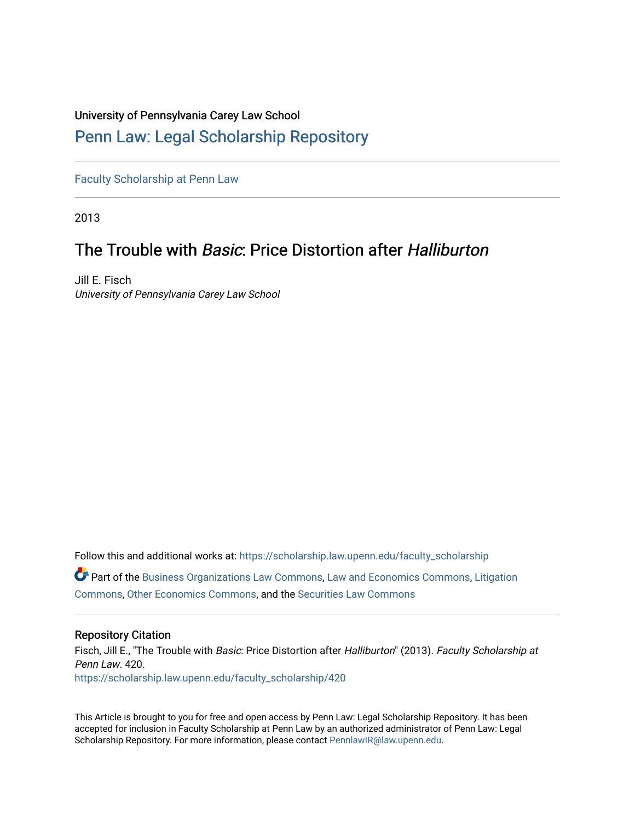## University of Pennsylvania Carey Law School

# [Penn Law: Legal Scholarship Repository](https://scholarship.law.upenn.edu/)

[Faculty Scholarship at Penn Law](https://scholarship.law.upenn.edu/faculty_scholarship)

2013

# The Trouble with Basic: Price Distortion after Halliburton

Jill E. Fisch University of Pennsylvania Carey Law School

Follow this and additional works at: [https://scholarship.law.upenn.edu/faculty\\_scholarship](https://scholarship.law.upenn.edu/faculty_scholarship?utm_source=scholarship.law.upenn.edu%2Ffaculty_scholarship%2F420&utm_medium=PDF&utm_campaign=PDFCoverPages)  Part of the [Business Organizations Law Commons](http://network.bepress.com/hgg/discipline/900?utm_source=scholarship.law.upenn.edu%2Ffaculty_scholarship%2F420&utm_medium=PDF&utm_campaign=PDFCoverPages), [Law and Economics Commons](http://network.bepress.com/hgg/discipline/612?utm_source=scholarship.law.upenn.edu%2Ffaculty_scholarship%2F420&utm_medium=PDF&utm_campaign=PDFCoverPages), [Litigation](http://network.bepress.com/hgg/discipline/910?utm_source=scholarship.law.upenn.edu%2Ffaculty_scholarship%2F420&utm_medium=PDF&utm_campaign=PDFCoverPages) [Commons](http://network.bepress.com/hgg/discipline/910?utm_source=scholarship.law.upenn.edu%2Ffaculty_scholarship%2F420&utm_medium=PDF&utm_campaign=PDFCoverPages), [Other Economics Commons](http://network.bepress.com/hgg/discipline/353?utm_source=scholarship.law.upenn.edu%2Ffaculty_scholarship%2F420&utm_medium=PDF&utm_campaign=PDFCoverPages), and the [Securities Law Commons](http://network.bepress.com/hgg/discipline/619?utm_source=scholarship.law.upenn.edu%2Ffaculty_scholarship%2F420&utm_medium=PDF&utm_campaign=PDFCoverPages) 

### Repository Citation

Fisch, Jill E., "The Trouble with Basic: Price Distortion after Halliburton" (2013). Faculty Scholarship at Penn Law. 420. [https://scholarship.law.upenn.edu/faculty\\_scholarship/420](https://scholarship.law.upenn.edu/faculty_scholarship/420?utm_source=scholarship.law.upenn.edu%2Ffaculty_scholarship%2F420&utm_medium=PDF&utm_campaign=PDFCoverPages) 

This Article is brought to you for free and open access by Penn Law: Legal Scholarship Repository. It has been accepted for inclusion in Faculty Scholarship at Penn Law by an authorized administrator of Penn Law: Legal Scholarship Repository. For more information, please contact [PennlawIR@law.upenn.edu.](mailto:PennlawIR@law.upenn.edu)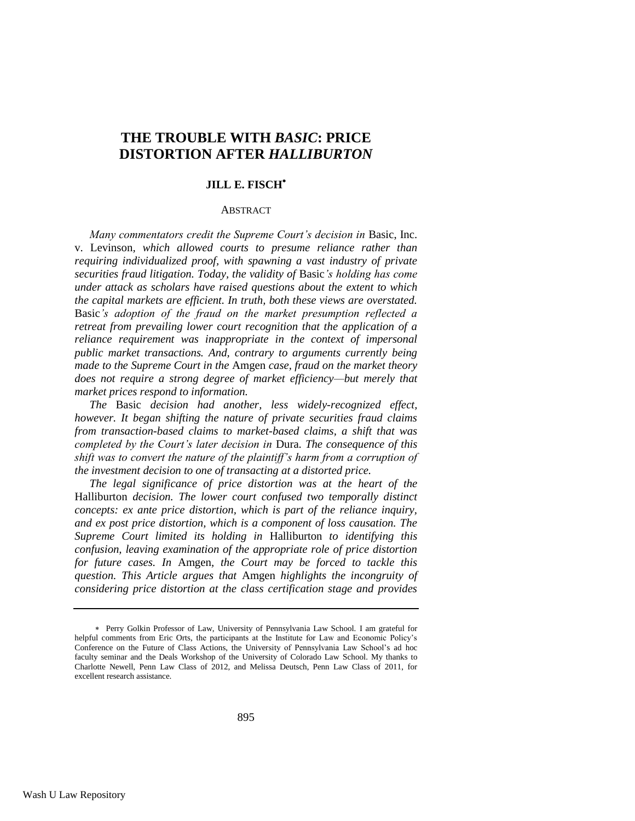# **THE TROUBLE WITH** *BASIC***: PRICE DISTORTION AFTER** *HALLIBURTON*

### **JILL E. FISCH**

#### ABSTRACT

*Many commentators credit the Supreme Court's decision in Basic, Inc.* v. Levinson*, which allowed courts to presume reliance rather than requiring individualized proof, with spawning a vast industry of private securities fraud litigation. Today, the validity of* Basic*'s holding has come under attack as scholars have raised questions about the extent to which the capital markets are efficient. In truth, both these views are overstated.*  Basic*'s adoption of the fraud on the market presumption reflected a retreat from prevailing lower court recognition that the application of a reliance requirement was inappropriate in the context of impersonal public market transactions. And, contrary to arguments currently being made to the Supreme Court in the* Amgen *case, fraud on the market theory does not require a strong degree of market efficiency—but merely that market prices respond to information.*

*The* Basic *decision had another, less widely-recognized effect, however. It began shifting the nature of private securities fraud claims from transaction-based claims to market-based claims, a shift that was completed by the Court's later decision in* Dura*. The consequence of this shift was to convert the nature of the plaintiff's harm from a corruption of the investment decision to one of transacting at a distorted price.*

*The legal significance of price distortion was at the heart of the*  Halliburton *decision. The lower court confused two temporally distinct concepts: ex ante price distortion, which is part of the reliance inquiry, and ex post price distortion, which is a component of loss causation. The Supreme Court limited its holding in* Halliburton *to identifying this confusion, leaving examination of the appropriate role of price distortion for future cases. In* Amgen*, the Court may be forced to tackle this question. This Article argues that* Amgen *highlights the incongruity of considering price distortion at the class certification stage and provides* 

Perry Golkin Professor of Law, University of Pennsylvania Law School. I am grateful for helpful comments from Eric Orts, the participants at the Institute for Law and Economic Policy's Conference on the Future of Class Actions, the University of Pennsylvania Law School's ad hoc faculty seminar and the Deals Workshop of the University of Colorado Law School. My thanks to Charlotte Newell, Penn Law Class of 2012, and Melissa Deutsch, Penn Law Class of 2011, for excellent research assistance.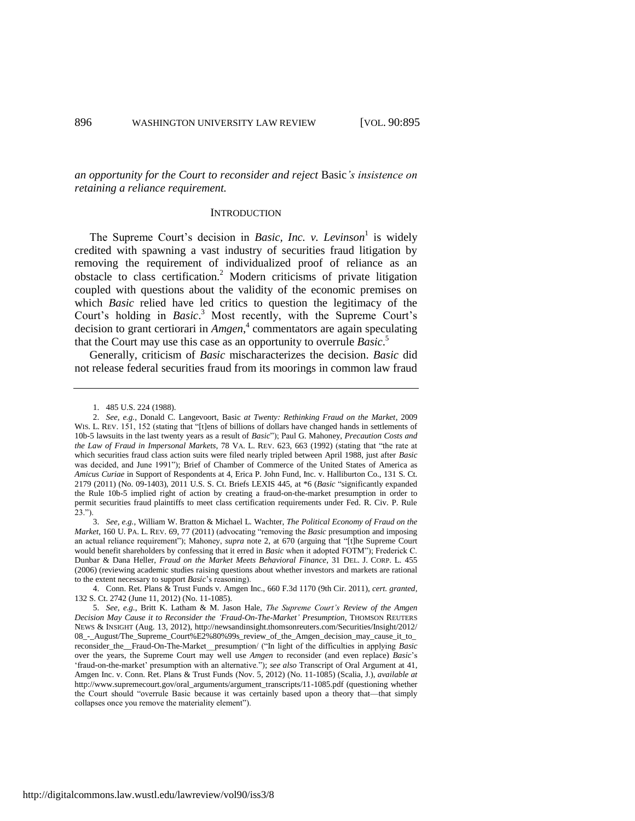*an opportunity for the Court to reconsider and reject* Basic*'s insistence on retaining a reliance requirement.*

#### <span id="page-2-1"></span><span id="page-2-0"></span>**INTRODUCTION**

The Supreme Court's decision in *Basic, Inc. v. Levinson*<sup>1</sup> is widely credited with spawning a vast industry of securities fraud litigation by removing the requirement of individualized proof of reliance as an obstacle to class certification.<sup>2</sup> Modern criticisms of private litigation coupled with questions about the validity of the economic premises on which *Basic* relied have led critics to question the legitimacy of the Court's holding in *Basic*. <sup>3</sup> Most recently, with the Supreme Court's decision to grant certiorari in *Amgen*, 4 commentators are again speculating that the Court may use this case as an opportunity to overrule *Basic*. 5

Generally, criticism of *Basic* mischaracterizes the decision. *Basic* did not release federal securities fraud from its moorings in common law fraud

<sup>1.</sup> 485 U.S. 224 (1988).

<sup>2.</sup> *See, e.g.*, Donald C. Langevoort, Basic *at Twenty: Rethinking Fraud on the Market*, 2009 WIS. L. REV. 151, 152 (stating that "[t]ens of billions of dollars have changed hands in settlements of 10b-5 lawsuits in the last twenty years as a result of *Basic*"); Paul G. Mahoney, *Precaution Costs and the Law of Fraud in Impersonal Markets*, 78 VA. L. REV. 623, 663 (1992) (stating that "the rate at which securities fraud class action suits were filed nearly tripled between April 1988, just after *Basic* was decided, and June 1991"); Brief of Chamber of Commerce of the United States of America as *Amicus Curiae* in Support of Respondents at 4, Erica P. John Fund, Inc. v. Halliburton Co., 131 S. Ct. 2179 (2011) (No. 09-1403), 2011 U.S. S. Ct. Briefs LEXIS 445, at \*6 (*Basic* "significantly expanded the Rule 10b-5 implied right of action by creating a fraud-on-the-market presumption in order to permit securities fraud plaintiffs to meet class certification requirements under Fed. R. Civ. P. Rule 23.").

<sup>3.</sup> *See, e.g.*, William W. Bratton & Michael L. Wachter, *The Political Economy of Fraud on the Market*, 160 U. PA. L. REV. 69, 77 (2011) (advocating "removing the *Basic* presumption and imposing an actual reliance requirement"); Mahoney, *supra* note [2,](#page-2-0) at 670 (arguing that "[t]he Supreme Court would benefit shareholders by confessing that it erred in *Basic* when it adopted FOTM"); Frederick C. Dunbar & Dana Heller, *Fraud on the Market Meets Behavioral Finance*, 31 DEL. J. CORP. L. 455 (2006) (reviewing academic studies raising questions about whether investors and markets are rational to the extent necessary to support *Basic*'s reasoning).

<sup>4.</sup> Conn. Ret. Plans & Trust Funds v. Amgen Inc., 660 F.3d 1170 (9th Cir. 2011), *cert. granted*, 132 S. Ct. 2742 (June 11, 2012) (No. 11-1085).

<sup>5.</sup> *See, e.g.*, Britt K. Latham & M. Jason Hale, *The Supreme Court's Review of the Amgen Decision May Cause it to Reconsider the 'Fraud-On-The-Market' Presumption*, THOMSON REUTERS NEWS & INSIGHT (Aug. 13, 2012), http://newsandinsight.thomsonreuters.com/Securities/Insight/2012/ 08\_-\_August/The\_Supreme\_Court%E2%80%99s\_review\_of\_the\_Amgen\_decision\_may\_cause\_it\_to\_ reconsider\_the\_\_Fraud-On-The-Market\_\_presumption/ ("In light of the difficulties in applying *Basic* over the years, the Supreme Court may well use *Amgen* to reconsider (and even replace) *Basic*'s 'fraud-on-the-market' presumption with an alternative."); *see also* Transcript of Oral Argument at 41, Amgen Inc. v. Conn. Ret. Plans & Trust Funds (Nov. 5, 2012) (No. 11-1085) (Scalia, J.), *available at* http://www.supremecourt.gov/oral\_arguments/argument\_transcripts/11-1085.pdf (questioning whether the Court should "overrule Basic because it was certainly based upon a theory that—that simply collapses once you remove the materiality element").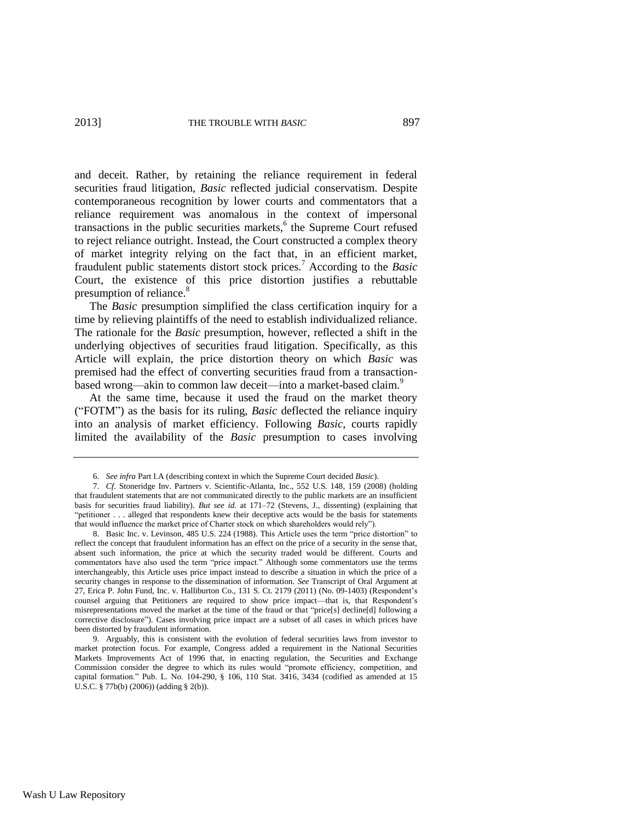and deceit. Rather, by retaining the reliance requirement in federal securities fraud litigation, *Basic* reflected judicial conservatism. Despite contemporaneous recognition by lower courts and commentators that a reliance requirement was anomalous in the context of impersonal transactions in the public securities markets,<sup>6</sup> the Supreme Court refused to reject reliance outright. Instead, the Court constructed a complex theory of market integrity relying on the fact that, in an efficient market, fraudulent public statements distort stock prices.<sup>7</sup> According to the *Basic* Court, the existence of this price distortion justifies a rebuttable presumption of reliance.<sup>8</sup>

The *Basic* presumption simplified the class certification inquiry for a time by relieving plaintiffs of the need to establish individualized reliance. The rationale for the *Basic* presumption, however, reflected a shift in the underlying objectives of securities fraud litigation. Specifically, as this Article will explain, the price distortion theory on which *Basic* was premised had the effect of converting securities fraud from a transactionbased wrong—akin to common law deceit—into a market-based claim.<sup>9</sup>

At the same time, because it used the fraud on the market theory ("FOTM") as the basis for its ruling, *Basic* deflected the reliance inquiry into an analysis of market efficiency. Following *Basic*, courts rapidly limited the availability of the *Basic* presumption to cases involving

<span id="page-3-0"></span><sup>6.</sup> *See infra* Part I.A (describing context in which the Supreme Court decided *Basic*).

<sup>7.</sup> *Cf*. Stoneridge Inv. Partners v. Scientific-Atlanta, Inc., 552 U.S. 148, 159 (2008) (holding that fraudulent statements that are not communicated directly to the public markets are an insufficient basis for securities fraud liability). *But see id.* at 171–72 (Stevens, J., dissenting) (explaining that "petitioner . . . alleged that respondents knew their deceptive acts would be the basis for statements that would influence the market price of Charter stock on which shareholders would rely").

<sup>8.</sup> Basic Inc. v. Levinson, 485 U.S. 224 (1988). This Article uses the term "price distortion" to reflect the concept that fraudulent information has an effect on the price of a security in the sense that, absent such information, the price at which the security traded would be different. Courts and commentators have also used the term "price impact." Although some commentators use the terms interchangeably, this Article uses price impact instead to describe a situation in which the price of a security changes in response to the dissemination of information. *See* Transcript of Oral Argument at 27, Erica P. John Fund, Inc. v. Halliburton Co., 131 S. Ct. 2179 (2011) (No. 09-1403) (Respondent's counsel arguing that Petitioners are required to show price impact—that is, that Respondent's misrepresentations moved the market at the time of the fraud or that "price[s] decline[d] following a corrective disclosure"). Cases involving price impact are a subset of all cases in which prices have been distorted by fraudulent information.

<sup>9.</sup> Arguably, this is consistent with the evolution of federal securities laws from investor to market protection focus. For example, Congress added a requirement in the National Securities Markets Improvements Act of 1996 that, in enacting regulation, the Securities and Exchange Commission consider the degree to which its rules would "promote efficiency, competition, and capital formation." Pub. L. No. 104-290, § 106, 110 Stat. 3416, 3434 (codified as amended at 15 U.S.C. § 77b(b) (2006)) (adding § 2(b)).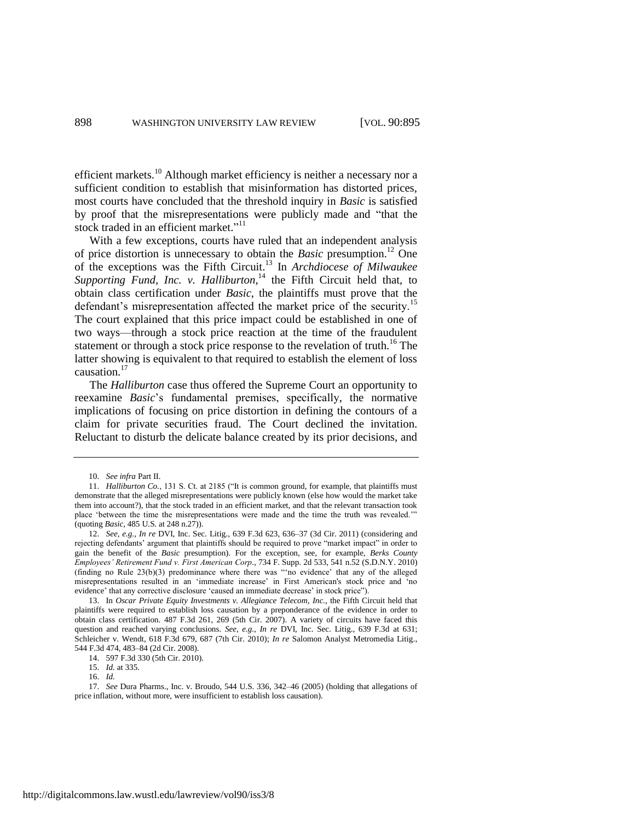efficient markets.<sup>10</sup> Although market efficiency is neither a necessary nor a sufficient condition to establish that misinformation has distorted prices, most courts have concluded that the threshold inquiry in *Basic* is satisfied by proof that the misrepresentations were publicly made and "that the stock traded in an efficient market."<sup>11</sup>

With a few exceptions, courts have ruled that an independent analysis of price distortion is unnecessary to obtain the *Basic* presumption.<sup>12</sup> One of the exceptions was the Fifth Circuit.<sup>13</sup> In *Archdiocese of Milwaukee*  Supporting Fund, Inc. v. Halliburton,<sup>14</sup> the Fifth Circuit held that, to obtain class certification under *Basic*, the plaintiffs must prove that the defendant's misrepresentation affected the market price of the security.<sup>15</sup> The court explained that this price impact could be established in one of two ways—through a stock price reaction at the time of the fraudulent statement or through a stock price response to the revelation of truth.<sup>16</sup> The latter showing is equivalent to that required to establish the element of loss causation.<sup>17</sup>

The *Halliburton* case thus offered the Supreme Court an opportunity to reexamine *Basic*'s fundamental premises, specifically, the normative implications of focusing on price distortion in defining the contours of a claim for private securities fraud. The Court declined the invitation. Reluctant to disturb the delicate balance created by its prior decisions, and

<sup>10.</sup> *See infra* Part II.

<sup>11.</sup> *Halliburton Co.*, 131 S. Ct. at 2185 ("It is common ground, for example, that plaintiffs must demonstrate that the alleged misrepresentations were publicly known (else how would the market take them into account?), that the stock traded in an efficient market, and that the relevant transaction took place 'between the time the misrepresentations were made and the time the truth was revealed.'" (quoting *Basic*, 485 U.S. at 248 n.27)).

<sup>12.</sup> *See, e.g.*, *In re* DVI, Inc. Sec. Litig., 639 F.3d 623, 636–37 (3d Cir. 2011) (considering and rejecting defendants' argument that plaintiffs should be required to prove "market impact" in order to gain the benefit of the *Basic* presumption). For the exception, see, for example, *Berks County Employees' Retirement Fund v. First American Corp.*, 734 F. Supp. 2d 533, 541 n.52 (S.D.N.Y. 2010) (finding no Rule 23(b)(3) predominance where there was "'no evidence' that any of the alleged misrepresentations resulted in an 'immediate increase' in First American's stock price and 'no evidence' that any corrective disclosure 'caused an immediate decrease' in stock price").

<sup>13.</sup> In *Oscar Private Equity Investments v. Allegiance Telecom, Inc.*, the Fifth Circuit held that plaintiffs were required to establish loss causation by a preponderance of the evidence in order to obtain class certification. 487 F.3d 261, 269 (5th Cir. 2007). A variety of circuits have faced this question and reached varying conclusions. *See, e.g.*, *In re* DVI, Inc. Sec. Litig., 639 F.3d at 631; Schleicher v. Wendt, 618 F.3d 679, 687 (7th Cir. 2010); *In re* Salomon Analyst Metromedia Litig., 544 F.3d 474, 483–84 (2d Cir. 2008).

<sup>14.</sup> 597 F.3d 330 (5th Cir. 2010).

<sup>15.</sup> *Id.* at 335.

<sup>16.</sup> *Id.*

<sup>17.</sup> *See* Dura Pharms., Inc. v. Broudo, 544 U.S. 336, 342–46 (2005) (holding that allegations of price inflation, without more, were insufficient to establish loss causation).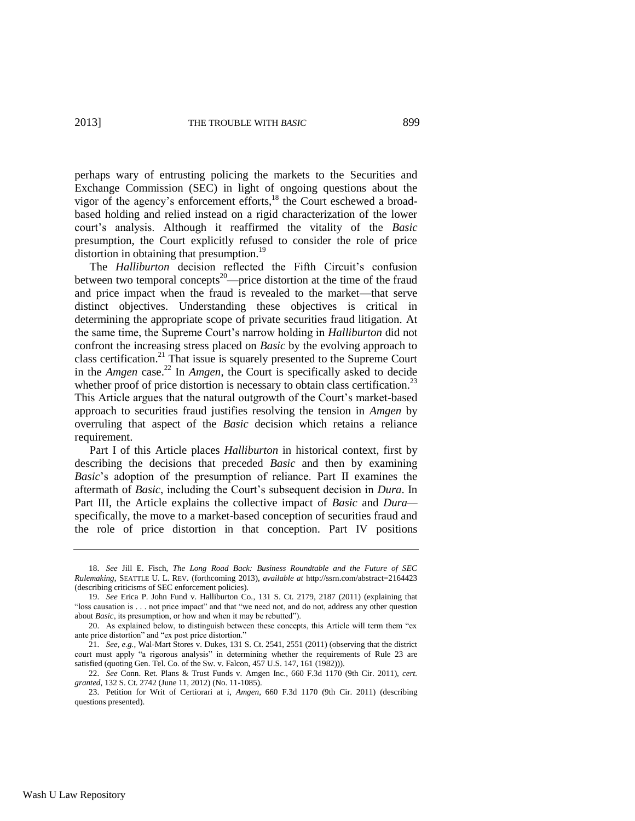perhaps wary of entrusting policing the markets to the Securities and Exchange Commission (SEC) in light of ongoing questions about the vigor of the agency's enforcement efforts,<sup>18</sup> the Court eschewed a broadbased holding and relied instead on a rigid characterization of the lower court's analysis. Although it reaffirmed the vitality of the *Basic* presumption, the Court explicitly refused to consider the role of price distortion in obtaining that presumption.<sup>19</sup>

The *Halliburton* decision reflected the Fifth Circuit's confusion between two temporal concepts<sup>20</sup>—price distortion at the time of the fraud and price impact when the fraud is revealed to the market—that serve distinct objectives. Understanding these objectives is critical in determining the appropriate scope of private securities fraud litigation. At the same time, the Supreme Court's narrow holding in *Halliburton* did not confront the increasing stress placed on *Basic* by the evolving approach to class certification.<sup>21</sup> That issue is squarely presented to the Supreme Court in the *Amgen* case.<sup>22</sup> In *Amgen*, the Court is specifically asked to decide whether proof of price distortion is necessary to obtain class certification.<sup>23</sup> This Article argues that the natural outgrowth of the Court's market-based approach to securities fraud justifies resolving the tension in *Amgen* by overruling that aspect of the *Basic* decision which retains a reliance requirement.

Part I of this Article places *Halliburton* in historical context, first by describing the decisions that preceded *Basic* and then by examining *Basic*'s adoption of the presumption of reliance. Part II examines the aftermath of *Basic*, including the Court's subsequent decision in *Dura*. In Part III, the Article explains the collective impact of *Basic* and *Dura* specifically, the move to a market-based conception of securities fraud and the role of price distortion in that conception. Part IV positions

<sup>18.</sup> *See* Jill E. Fisch, *The Long Road Back: Business Roundtable and the Future of SEC Rulemaking*, SEATTLE U. L. REV. (forthcoming 2013), *available at* http://ssrn.com/abstract=2164423 (describing criticisms of SEC enforcement policies).

<sup>19.</sup> *See* Erica P. John Fund v. Halliburton Co., 131 S. Ct. 2179, 2187 (2011) (explaining that "loss causation is . . . not price impact" and that "we need not, and do not, address any other question about *Basic*, its presumption, or how and when it may be rebutted").

<sup>20.</sup> As explained below, to distinguish between these concepts, this Article will term them "ex ante price distortion" and "ex post price distortion."

<sup>21.</sup> *See, e.g.*, Wal-Mart Stores v. Dukes, 131 S. Ct. 2541, 2551 (2011) (observing that the district court must apply "a rigorous analysis" in determining whether the requirements of Rule 23 are satisfied (quoting Gen. Tel. Co. of the Sw. v. Falcon, 457 U.S. 147, 161 (1982))).

<sup>22.</sup> *See* Conn. Ret. Plans & Trust Funds v. Amgen Inc., 660 F.3d 1170 (9th Cir. 2011), *cert. granted*, 132 S. Ct. 2742 (June 11, 2012) (No. 11-1085).

<sup>23.</sup> Petition for Writ of Certiorari at i, *Amgen*, 660 F.3d 1170 (9th Cir. 2011) (describing questions presented).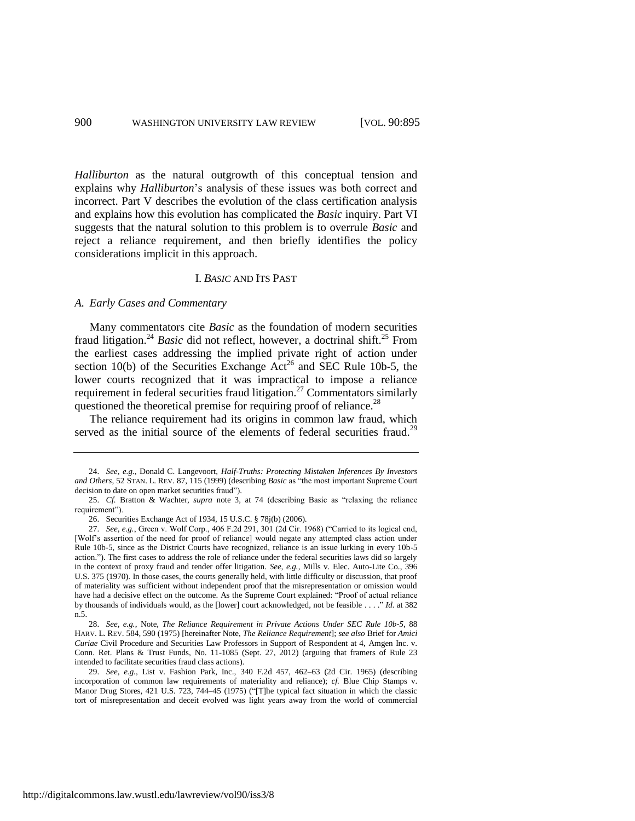*Halliburton* as the natural outgrowth of this conceptual tension and explains why *Halliburton*'s analysis of these issues was both correct and incorrect. Part V describes the evolution of the class certification analysis and explains how this evolution has complicated the *Basic* inquiry. Part VI suggests that the natural solution to this problem is to overrule *Basic* and reject a reliance requirement, and then briefly identifies the policy considerations implicit in this approach.

#### <span id="page-6-2"></span><span id="page-6-1"></span><span id="page-6-0"></span>I. *BASIC* AND ITS PAST

#### *A. Early Cases and Commentary*

Many commentators cite *Basic* as the foundation of modern securities fraud litigation.<sup>24</sup> *Basic* did not reflect, however, a doctrinal shift.<sup>25</sup> From the earliest cases addressing the implied private right of action under section 10(b) of the Securities Exchange  $\text{Act}^{26}$  and SEC Rule 10b-5, the lower courts recognized that it was impractical to impose a reliance requirement in federal securities fraud litigation.<sup>27</sup> Commentators similarly questioned the theoretical premise for requiring proof of reliance.<sup>28</sup>

The reliance requirement had its origins in common law fraud, which served as the initial source of the elements of federal securities fraud.<sup>29</sup>

<sup>24.</sup> *See, e.g.*, Donald C. Langevoort, *Half-Truths: Protecting Mistaken Inferences By Investors and Others*, 52 STAN. L. REV. 87, 115 (1999) (describing *Basic* as "the most important Supreme Court decision to date on open market securities fraud").

<sup>25.</sup> *Cf.* Bratton & Wachter, *supra* note [3,](#page-2-1) at 74 (describing Basic as "relaxing the reliance requirement").

<sup>26.</sup> Securities Exchange Act of 1934, 15 U.S.C. § 78j(b) (2006).

<sup>27.</sup> *See, e.g.*, Green v. Wolf Corp., 406 F.2d 291, 301 (2d Cir. 1968) ("Carried to its logical end, [Wolf's assertion of the need for proof of reliance] would negate any attempted class action under Rule 10b-5, since as the District Courts have recognized, reliance is an issue lurking in every 10b-5 action."). The first cases to address the role of reliance under the federal securities laws did so largely in the context of proxy fraud and tender offer litigation. *See, e.g.*, Mills v. Elec. Auto-Lite Co., 396 U.S. 375 (1970). In those cases, the courts generally held, with little difficulty or discussion, that proof of materiality was sufficient without independent proof that the misrepresentation or omission would have had a decisive effect on the outcome. As the Supreme Court explained: "Proof of actual reliance by thousands of individuals would, as the [lower] court acknowledged, not be feasible . . . ." *Id.* at 382 n.5.

<sup>28.</sup> *See, e.g.*, Note, *The Reliance Requirement in Private Actions Under SEC Rule 10b-5*, 88 HARV. L. REV. 584, 590 (1975) [hereinafter Note, *The Reliance Requirement*]; *see also* Brief for *Amici Curiae* Civil Procedure and Securities Law Professors in Support of Respondent at 4, Amgen Inc. v. Conn. Ret. Plans & Trust Funds, No. 11-1085 (Sept. 27, 2012) (arguing that framers of Rule 23 intended to facilitate securities fraud class actions).

<sup>29.</sup> *See, e.g.*, List v. Fashion Park, Inc., 340 F.2d 457, 462–63 (2d Cir. 1965) (describing incorporation of common law requirements of materiality and reliance); *cf.* Blue Chip Stamps v. Manor Drug Stores, 421 U.S. 723, 744–45 (1975) ("[T]he typical fact situation in which the classic tort of misrepresentation and deceit evolved was light years away from the world of commercial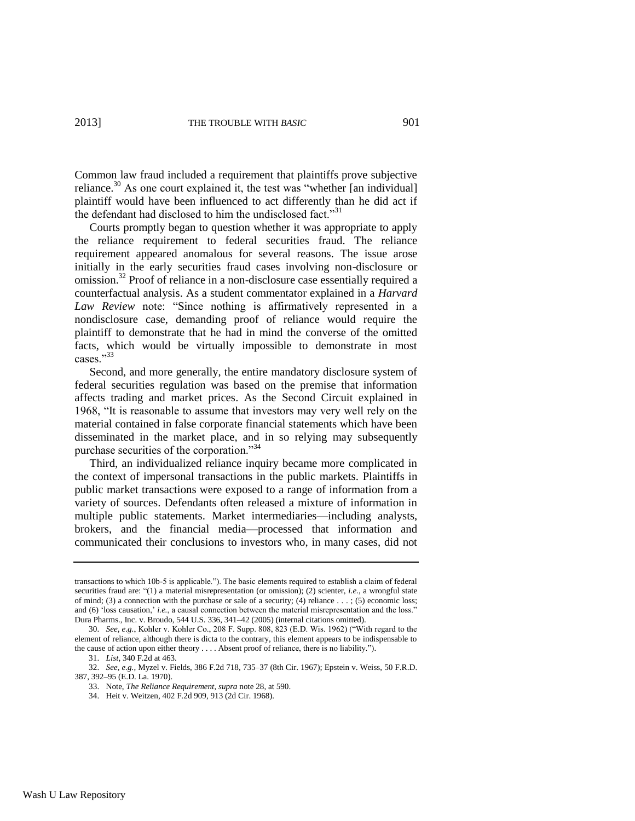<span id="page-7-0"></span>Common law fraud included a requirement that plaintiffs prove subjective reliance. $30$  As one court explained it, the test was "whether [an individual] plaintiff would have been influenced to act differently than he did act if the defendant had disclosed to him the undisclosed fact."<sup>31</sup>

Courts promptly began to question whether it was appropriate to apply the reliance requirement to federal securities fraud. The reliance requirement appeared anomalous for several reasons. The issue arose initially in the early securities fraud cases involving non-disclosure or omission.<sup>32</sup> Proof of reliance in a non-disclosure case essentially required a counterfactual analysis. As a student commentator explained in a *Harvard Law Review* note: "Since nothing is affirmatively represented in a nondisclosure case, demanding proof of reliance would require the plaintiff to demonstrate that he had in mind the converse of the omitted facts, which would be virtually impossible to demonstrate in most cases."<sup>33</sup>

Second, and more generally, the entire mandatory disclosure system of federal securities regulation was based on the premise that information affects trading and market prices. As the Second Circuit explained in 1968, "It is reasonable to assume that investors may very well rely on the material contained in false corporate financial statements which have been disseminated in the market place, and in so relying may subsequently purchase securities of the corporation."<sup>34</sup>

Third, an individualized reliance inquiry became more complicated in the context of impersonal transactions in the public markets. Plaintiffs in public market transactions were exposed to a range of information from a variety of sources. Defendants often released a mixture of information in multiple public statements. Market intermediaries—including analysts, brokers, and the financial media—processed that information and communicated their conclusions to investors who, in many cases, did not

34. Heit v. Weitzen, 402 F.2d 909, 913 (2d Cir. 1968).

transactions to which 10b-5 is applicable."). The basic elements required to establish a claim of federal securities fraud are: "(1) a material misrepresentation (or omission); (2) scienter, *i.e.*, a wrongful state of mind; (3) a connection with the purchase or sale of a security; (4) reliance  $\dots$ ; (5) economic loss; and (6) 'loss causation,' *i.e.*, a causal connection between the material misrepresentation and the loss." Dura Pharms., Inc. v. Broudo, 544 U.S. 336, 341–42 (2005) (internal citations omitted).

<sup>30.</sup> *See, e.g.*, Kohler v. Kohler Co., 208 F. Supp. 808, 823 (E.D. Wis. 1962) ("With regard to the element of reliance, although there is dicta to the contrary, this element appears to be indispensable to the cause of action upon either theory . . . . Absent proof of reliance, there is no liability.").

<sup>31.</sup> *List*, 340 F.2d at 463.

<sup>32.</sup> *See, e.g.*, Myzel v. Fields, 386 F.2d 718, 735–37 (8th Cir. 1967); Epstein v. Weiss, 50 F.R.D. 387, 392–95 (E.D. La. 1970).

<sup>33.</sup> Note, *The Reliance Requirement*, *supra* not[e 28,](#page-6-0) at 590.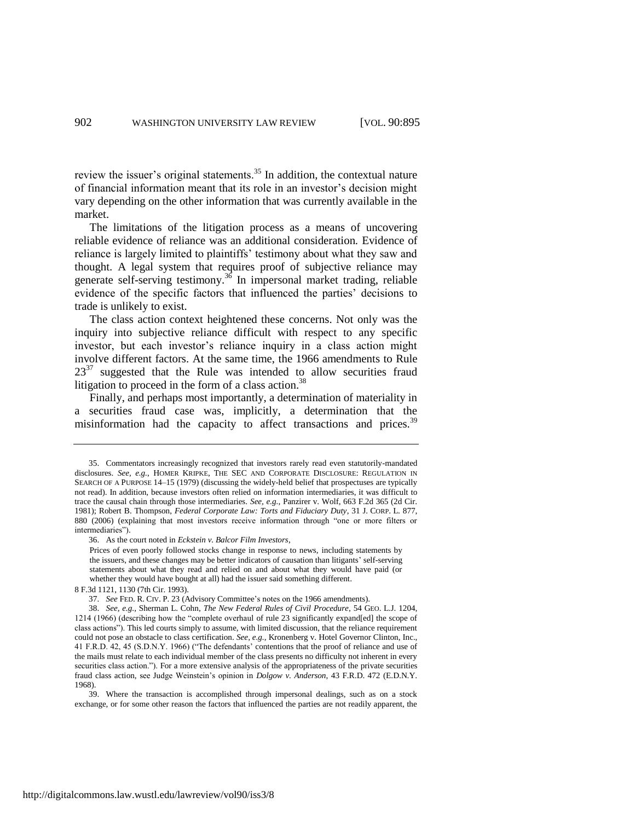review the issuer's original statements.<sup>35</sup> In addition, the contextual nature of financial information meant that its role in an investor's decision might vary depending on the other information that was currently available in the market.

The limitations of the litigation process as a means of uncovering reliable evidence of reliance was an additional consideration. Evidence of reliance is largely limited to plaintiffs' testimony about what they saw and thought. A legal system that requires proof of subjective reliance may generate self-serving testimony.<sup>36</sup> In impersonal market trading, reliable evidence of the specific factors that influenced the parties' decisions to trade is unlikely to exist.

The class action context heightened these concerns. Not only was the inquiry into subjective reliance difficult with respect to any specific investor, but each investor's reliance inquiry in a class action might involve different factors. At the same time, the 1966 amendments to Rule  $23^{37}$  suggested that the Rule was intended to allow securities fraud litigation to proceed in the form of a class action.<sup>38</sup>

<span id="page-8-1"></span><span id="page-8-0"></span>Finally, and perhaps most importantly, a determination of materiality in a securities fraud case was, implicitly, a determination that the misinformation had the capacity to affect transactions and prices.<sup>39</sup>

39. Where the transaction is accomplished through impersonal dealings, such as on a stock exchange, or for some other reason the factors that influenced the parties are not readily apparent, the

<sup>35.</sup> Commentators increasingly recognized that investors rarely read even statutorily-mandated disclosures. *See, e.g.*, HOMER KRIPKE, THE SEC AND CORPORATE DISCLOSURE: REGULATION IN SEARCH OF A PURPOSE 14–15 (1979) (discussing the widely-held belief that prospectuses are typically not read). In addition, because investors often relied on information intermediaries, it was difficult to trace the causal chain through those intermediaries. *See, e.g.*, Panzirer v. Wolf, 663 F.2d 365 (2d Cir. 1981); Robert B. Thompson, *Federal Corporate Law: Torts and Fiduciary Duty*, 31 J. CORP. L. 877, 880 (2006) (explaining that most investors receive information through "one or more filters or intermediaries").

<sup>36.</sup> As the court noted in *Eckstein v. Balcor Film Investors*,

Prices of even poorly followed stocks change in response to news, including statements by the issuers, and these changes may be better indicators of causation than litigants' self-serving statements about what they read and relied on and about what they would have paid (or whether they would have bought at all) had the issuer said something different.

<sup>8</sup> F.3d 1121, 1130 (7th Cir. 1993).

<sup>37.</sup> *See* FED. R. CIV. P. 23 (Advisory Committee's notes on the 1966 amendments).

<sup>38.</sup> *See, e.g.*, Sherman L. Cohn, *The New Federal Rules of Civil Procedure*, 54 GEO. L.J. 1204, 1214 (1966) (describing how the "complete overhaul of rule 23 significantly expand[ed] the scope of class actions"). This led courts simply to assume, with limited discussion, that the reliance requirement could not pose an obstacle to class certification. *See, e.g.*, Kronenberg v. Hotel Governor Clinton, Inc., 41 F.R.D. 42, 45 (S.D.N.Y. 1966) ("The defendants' contentions that the proof of reliance and use of the mails must relate to each individual member of the class presents no difficulty not inherent in every securities class action."). For a more extensive analysis of the appropriateness of the private securities fraud class action, see Judge Weinstein's opinion in *Dolgow v. Anderson*, 43 F.R.D. 472 (E.D.N.Y. 1968).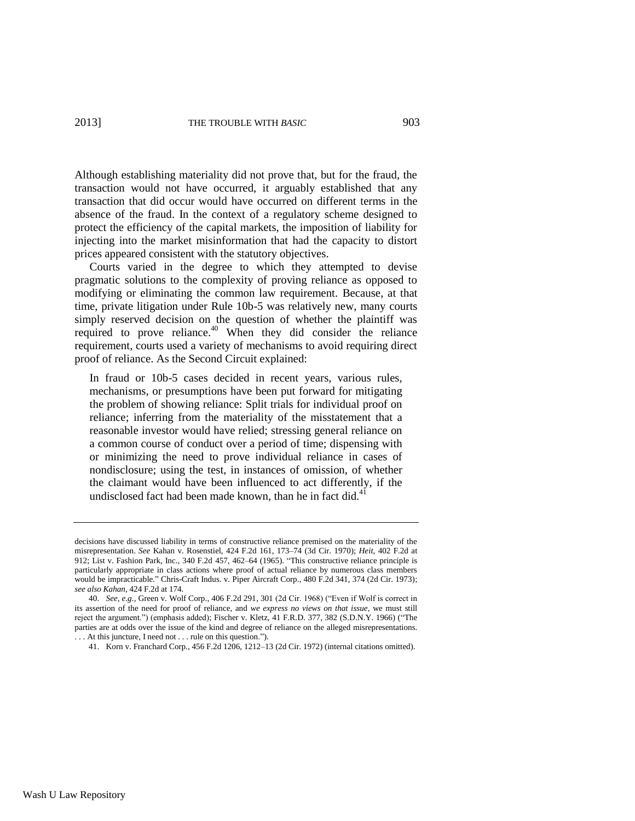Although establishing materiality did not prove that, but for the fraud, the transaction would not have occurred, it arguably established that any transaction that did occur would have occurred on different terms in the absence of the fraud. In the context of a regulatory scheme designed to protect the efficiency of the capital markets, the imposition of liability for injecting into the market misinformation that had the capacity to distort prices appeared consistent with the statutory objectives.

Courts varied in the degree to which they attempted to devise pragmatic solutions to the complexity of proving reliance as opposed to modifying or eliminating the common law requirement. Because, at that time, private litigation under Rule 10b-5 was relatively new, many courts simply reserved decision on the question of whether the plaintiff was required to prove reliance.<sup>40</sup> When they did consider the reliance requirement, courts used a variety of mechanisms to avoid requiring direct proof of reliance. As the Second Circuit explained:

In fraud or 10b-5 cases decided in recent years, various rules, mechanisms, or presumptions have been put forward for mitigating the problem of showing reliance: Split trials for individual proof on reliance; inferring from the materiality of the misstatement that a reasonable investor would have relied; stressing general reliance on a common course of conduct over a period of time; dispensing with or minimizing the need to prove individual reliance in cases of nondisclosure; using the test, in instances of omission, of whether the claimant would have been influenced to act differently, if the undisclosed fact had been made known, than he in fact did. $41$ 

decisions have discussed liability in terms of constructive reliance premised on the materiality of the misrepresentation. *See* Kahan v. Rosenstiel, 424 F.2d 161, 173–74 (3d Cir. 1970); *Heit*, 402 F.2d at 912; List v. Fashion Park, Inc., 340 F.2d 457, 462–64 (1965). "This constructive reliance principle is particularly appropriate in class actions where proof of actual reliance by numerous class members would be impracticable." Chris-Craft Indus. v. Piper Aircraft Corp., 480 F.2d 341, 374 (2d Cir. 1973); *see also Kahan*, 424 F.2d at 174.

<sup>40.</sup> *See, e.g.*, Green v. Wolf Corp., 406 F.2d 291, 301 (2d Cir. 1968) ("Even if Wolf is correct in its assertion of the need for proof of reliance, and *we express no views on that issue*, we must still reject the argument.") (emphasis added); Fischer v. Kletz, 41 F.R.D. 377, 382 (S.D.N.Y. 1966) ("The parties are at odds over the issue of the kind and degree of reliance on the alleged misrepresentations. . . . At this juncture, I need not . . . rule on this question.").

<sup>41.</sup> Korn v. Franchard Corp., 456 F.2d 1206, 1212–13 (2d Cir. 1972) (internal citations omitted).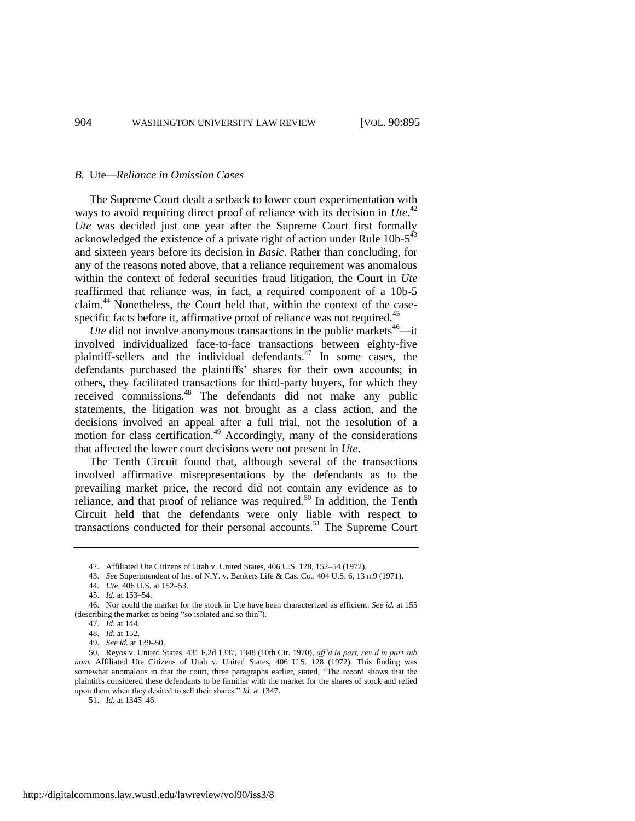#### *B.* Ute*—Reliance in Omission Cases*

The Supreme Court dealt a setback to lower court experimentation with ways to avoid requiring direct proof of reliance with its decision in *Ute*.<sup>42</sup> *Ute* was decided just one year after the Supreme Court first formally acknowledged the existence of a private right of action under Rule  $10b-5^{43}$ and sixteen years before its decision in *Basic*. Rather than concluding, for any of the reasons noted above, that a reliance requirement was anomalous within the context of federal securities fraud litigation, the Court in *Ute* reaffirmed that reliance was, in fact, a required component of a 10b-5 claim.<sup>44</sup> Nonetheless, the Court held that, within the context of the casespecific facts before it, affirmative proof of reliance was not required.<sup>45</sup>

*Ute* did not involve anonymous transactions in the public markets<sup>46</sup>—it involved individualized face-to-face transactions between eighty-five plaintiff-sellers and the individual defendants.<sup>47</sup> In some cases, the defendants purchased the plaintiffs' shares for their own accounts; in others, they facilitated transactions for third-party buyers, for which they received commissions.<sup>48</sup> The defendants did not make any public statements, the litigation was not brought as a class action, and the decisions involved an appeal after a full trial, not the resolution of a motion for class certification.<sup>49</sup> Accordingly, many of the considerations that affected the lower court decisions were not present in *Ute*.

The Tenth Circuit found that, although several of the transactions involved affirmative misrepresentations by the defendants as to the prevailing market price, the record did not contain any evidence as to reliance, and that proof of reliance was required.<sup>50</sup> In addition, the Tenth Circuit held that the defendants were only liable with respect to transactions conducted for their personal accounts.<sup>51</sup> The Supreme Court

51. *Id.* at 1345–46.

<sup>42.</sup> Affiliated Ute Citizens of Utah v. United States, 406 U.S. 128, 152–54 (1972).

<sup>43.</sup> *See* Superintendent of Ins. of N.Y. v. Bankers Life & Cas. Co., 404 U.S. 6, 13 n.9 (1971).

<sup>44.</sup> *Ute*, 406 U.S. at 152–53.

<sup>45.</sup> *Id.* at 153–54.

<sup>46.</sup> Nor could the market for the stock in Ute have been characterized as efficient. *See id.* at 155 (describing the market as being "so isolated and so thin").

<sup>47.</sup> *Id.* at 144.

<sup>48.</sup> *Id.* at 152.

<sup>49.</sup> *See id.* at 139–50.

<sup>50.</sup> Reyos v. United States, 431 F.2d 1337, 1348 (10th Cir. 1970), *aff'd in part, rev'd in part sub nom.* Affiliated Ute Citizens of Utah v. United States, 406 U.S. 128 (1972). This finding was somewhat anomalous in that the court, three paragraphs earlier, stated, "The record shows that the plaintiffs considered these defendants to be familiar with the market for the shares of stock and relied upon them when they desired to sell their shares." *Id.* at 1347.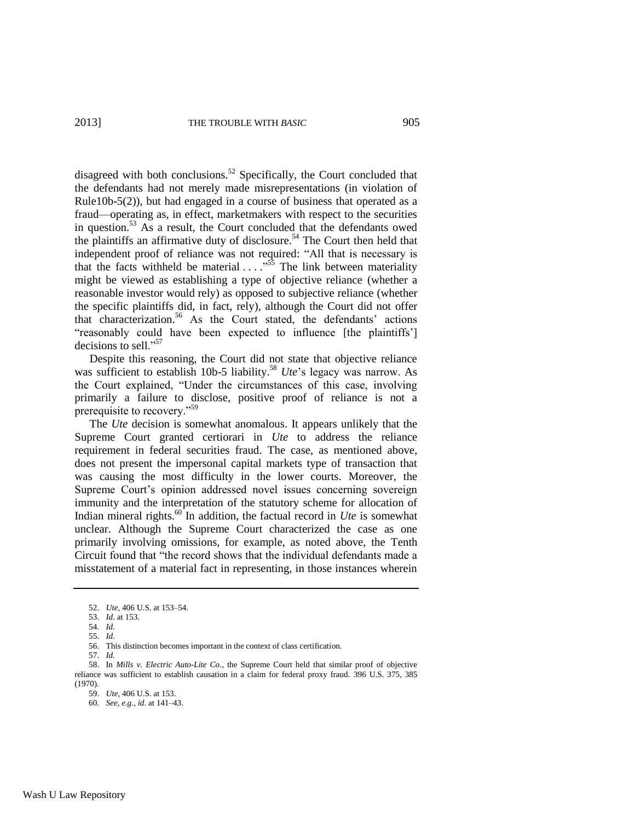disagreed with both conclusions.<sup>52</sup> Specifically, the Court concluded that the defendants had not merely made misrepresentations (in violation of Rule10b-5(2)), but had engaged in a course of business that operated as a fraud—operating as, in effect, marketmakers with respect to the securities in question.<sup>53</sup> As a result, the Court concluded that the defendants owed the plaintiffs an affirmative duty of disclosure.<sup>54</sup> The Court then held that independent proof of reliance was not required: "All that is necessary is that the facts withheld be material  $\ldots$ <sup>55</sup>. The link between materiality might be viewed as establishing a type of objective reliance (whether a reasonable investor would rely) as opposed to subjective reliance (whether the specific plaintiffs did, in fact, rely), although the Court did not offer that characterization.<sup>56</sup> As the Court stated, the defendants' actions "reasonably could have been expected to influence [the plaintiffs'] decisions to sell."<sup>57</sup>

Despite this reasoning, the Court did not state that objective reliance was sufficient to establish 10b-5 liability.<sup>58</sup> *Ute*'s legacy was narrow. As the Court explained, "Under the circumstances of this case, involving primarily a failure to disclose, positive proof of reliance is not a prerequisite to recovery."<sup>59</sup>

The *Ute* decision is somewhat anomalous. It appears unlikely that the Supreme Court granted certiorari in *Ute* to address the reliance requirement in federal securities fraud. The case, as mentioned above, does not present the impersonal capital markets type of transaction that was causing the most difficulty in the lower courts. Moreover, the Supreme Court's opinion addressed novel issues concerning sovereign immunity and the interpretation of the statutory scheme for allocation of Indian mineral rights.<sup>60</sup> In addition, the factual record in *Ute* is somewhat unclear. Although the Supreme Court characterized the case as one primarily involving omissions, for example, as noted above, the Tenth Circuit found that "the record shows that the individual defendants made a misstatement of a material fact in representing, in those instances wherein

<sup>52.</sup> *Ute*, 406 U.S. at 153–54.

<sup>53.</sup> *Id.* at 153.

<sup>54.</sup> *Id.*

<sup>55.</sup> *Id.*

<sup>56.</sup> This distinction becomes important in the context of class certification.

<sup>57.</sup> *Id.*

<sup>58.</sup> In *Mills v. Electric Auto-Lite Co.*, the Supreme Court held that similar proof of objective reliance was sufficient to establish causation in a claim for federal proxy fraud. 396 U.S. 375, 385 (1970).

<sup>59.</sup> *Ute*, 406 U.S. at 153.

<sup>60.</sup> *See, e.g.*, *id.* at 141–43.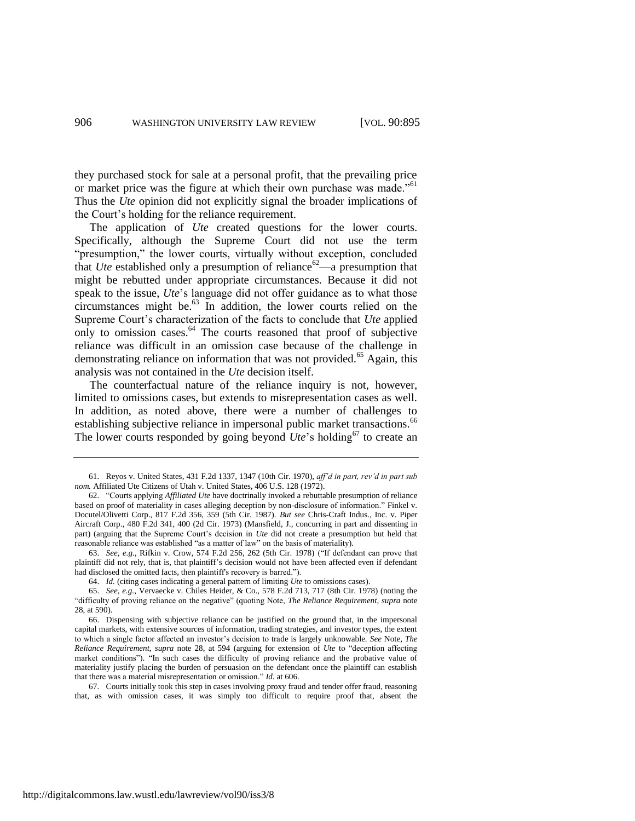they purchased stock for sale at a personal profit, that the prevailing price or market price was the figure at which their own purchase was made."<sup>61</sup> Thus the *Ute* opinion did not explicitly signal the broader implications of the Court's holding for the reliance requirement.

The application of *Ute* created questions for the lower courts. Specifically, although the Supreme Court did not use the term "presumption," the lower courts, virtually without exception, concluded that *Ute* established only a presumption of reliance<sup>62</sup>—a presumption that might be rebutted under appropriate circumstances. Because it did not speak to the issue, *Ute*'s language did not offer guidance as to what those circumstances might be.<sup>63</sup> In addition, the lower courts relied on the Supreme Court's characterization of the facts to conclude that *Ute* applied only to omission cases. $64$  The courts reasoned that proof of subjective reliance was difficult in an omission case because of the challenge in demonstrating reliance on information that was not provided.<sup>65</sup> Again, this analysis was not contained in the *Ute* decision itself.

The counterfactual nature of the reliance inquiry is not, however, limited to omissions cases, but extends to misrepresentation cases as well. In addition, as noted above, there were a number of challenges to establishing subjective reliance in impersonal public market transactions.<sup>66</sup> The lower courts responded by going beyond  $Ute$ 's holding<sup>67</sup> to create an

63. *See, e.g.*, Rifkin v. Crow, 574 F.2d 256, 262 (5th Cir. 1978) ("If defendant can prove that plaintiff did not rely, that is, that plaintiff's decision would not have been affected even if defendant had disclosed the omitted facts, then plaintiff's recovery is barred.").

64. *Id.* (citing cases indicating a general pattern of limiting *Ute* to omissions cases).

65. *See, e.g.*, Vervaecke v. Chiles Heider, & Co., 578 F.2d 713, 717 (8th Cir. 1978) (noting the "difficulty of proving reliance on the negative" (quoting Note, *The Reliance Requirement*, *supra* note [28,](#page-6-0) at 590).

67. Courts initially took this step in cases involving proxy fraud and tender offer fraud, reasoning that, as with omission cases, it was simply too difficult to require proof that, absent the

<sup>61.</sup> Reyos v. United States, 431 F.2d 1337, 1347 (10th Cir. 1970), *aff'd in part, rev'd in part sub nom.* Affiliated Ute Citizens of Utah v. United States, 406 U.S. 128 (1972).

<sup>62.</sup> "Courts applying *Affiliated Ute* have doctrinally invoked a rebuttable presumption of reliance based on proof of materiality in cases alleging deception by non-disclosure of information." Finkel v. Docutel/Olivetti Corp., 817 F.2d 356, 359 (5th Cir. 1987). *But see* Chris-Craft Indus., Inc. v. Piper Aircraft Corp., 480 F.2d 341, 400 (2d Cir. 1973) (Mansfield, J., concurring in part and dissenting in part) (arguing that the Supreme Court's decision in *Ute* did not create a presumption but held that reasonable reliance was established "as a matter of law" on the basis of materiality).

<sup>66.</sup> Dispensing with subjective reliance can be justified on the ground that, in the impersonal capital markets, with extensive sources of information, trading strategies, and investor types, the extent to which a single factor affected an investor's decision to trade is largely unknowable. *See* Note, *The Reliance Requirement*, *supra* note [28,](#page-6-0) at 594 (arguing for extension of *Ute* to "deception affecting market conditions"). "In such cases the difficulty of proving reliance and the probative value of materiality justify placing the burden of persuasion on the defendant once the plaintiff can establish that there was a material misrepresentation or omission." *Id.* at 606.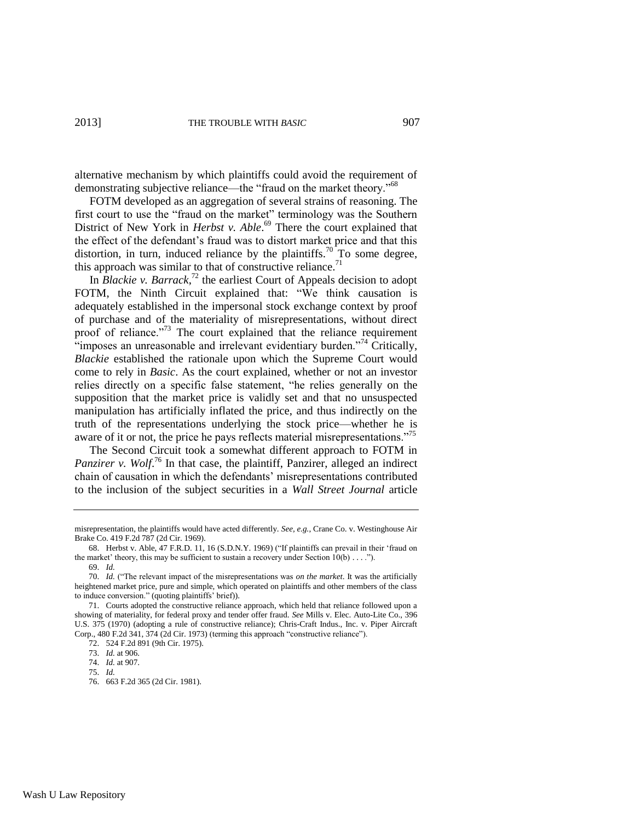alternative mechanism by which plaintiffs could avoid the requirement of demonstrating subjective reliance—the "fraud on the market theory."<sup>68</sup>

FOTM developed as an aggregation of several strains of reasoning. The first court to use the "fraud on the market" terminology was the Southern District of New York in *Herbst v. Able*.<sup>69</sup> There the court explained that the effect of the defendant's fraud was to distort market price and that this distortion, in turn, induced reliance by the plaintiffs.<sup>70</sup> To some degree, this approach was similar to that of constructive reliance.<sup>71</sup>

In *Blackie v. Barrack*, <sup>72</sup> the earliest Court of Appeals decision to adopt FOTM, the Ninth Circuit explained that: "We think causation is adequately established in the impersonal stock exchange context by proof of purchase and of the materiality of misrepresentations, without direct proof of reliance."<sup>73</sup> The court explained that the reliance requirement  $\cdot$ imposes an unreasonable and irrelevant evidentiary burden."<sup>74</sup> Critically, *Blackie* established the rationale upon which the Supreme Court would come to rely in *Basic*. As the court explained, whether or not an investor relies directly on a specific false statement, "he relies generally on the supposition that the market price is validly set and that no unsuspected manipulation has artificially inflated the price, and thus indirectly on the truth of the representations underlying the stock price—whether he is aware of it or not, the price he pays reflects material misrepresentations."<sup>75</sup>

The Second Circuit took a somewhat different approach to FOTM in Panzirer v. Wolf.<sup>76</sup> In that case, the plaintiff, Panzirer, alleged an indirect chain of causation in which the defendants' misrepresentations contributed to the inclusion of the subject securities in a *Wall Street Journal* article

misrepresentation, the plaintiffs would have acted differently. *See, e.g.*, Crane Co. v. Westinghouse Air Brake Co. 419 F.2d 787 (2d Cir. 1969).

<sup>68.</sup> Herbst v. Able, 47 F.R.D. 11, 16 (S.D.N.Y. 1969) ("If plaintiffs can prevail in their 'fraud on the market' theory, this may be sufficient to sustain a recovery under Section  $10(b) \ldots$ ."). 69. *Id.*

<sup>70.</sup> *Id.* ("The relevant impact of the misrepresentations was *on the market*. It was the artificially heightened market price, pure and simple, which operated on plaintiffs and other members of the class to induce conversion." (quoting plaintiffs' brief)).

<sup>71.</sup> Courts adopted the constructive reliance approach, which held that reliance followed upon a showing of materiality, for federal proxy and tender offer fraud. *See* Mills v. Elec. Auto-Lite Co., 396 U.S. 375 (1970) (adopting a rule of constructive reliance); Chris-Craft Indus., Inc. v. Piper Aircraft Corp., 480 F.2d 341, 374 (2d Cir. 1973) (terming this approach "constructive reliance").

<sup>72.</sup> 524 F.2d 891 (9th Cir. 1975).

<sup>73.</sup> *Id.* at 906.

<sup>74.</sup> *Id.* at 907.

<sup>75.</sup> *Id.*

<sup>76.</sup> 663 F.2d 365 (2d Cir. 1981).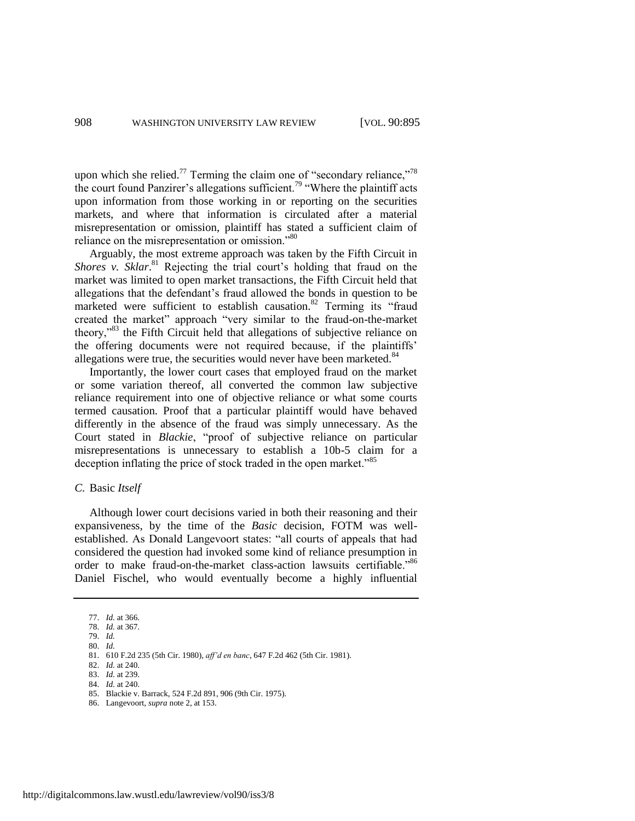upon which she relied.<sup>77</sup> Terming the claim one of "secondary reliance,"<sup>78</sup> the court found Panzirer's allegations sufficient.<sup>79</sup> "Where the plaintiff acts upon information from those working in or reporting on the securities markets, and where that information is circulated after a material misrepresentation or omission, plaintiff has stated a sufficient claim of reliance on the misrepresentation or omission."<sup>80</sup>

Arguably, the most extreme approach was taken by the Fifth Circuit in Shores v. Sklar.<sup>81</sup> Rejecting the trial court's holding that fraud on the market was limited to open market transactions, the Fifth Circuit held that allegations that the defendant's fraud allowed the bonds in question to be marketed were sufficient to establish causation.<sup>82</sup> Terming its "fraud created the market" approach "very similar to the fraud-on-the-market theory,<sup>33</sup> the Fifth Circuit held that allegations of subjective reliance on the offering documents were not required because, if the plaintiffs' allegations were true, the securities would never have been marketed.<sup>84</sup>

Importantly, the lower court cases that employed fraud on the market or some variation thereof, all converted the common law subjective reliance requirement into one of objective reliance or what some courts termed causation. Proof that a particular plaintiff would have behaved differently in the absence of the fraud was simply unnecessary. As the Court stated in *Blackie*, "proof of subjective reliance on particular misrepresentations is unnecessary to establish a 10b-5 claim for a deception inflating the price of stock traded in the open market.<sup>85</sup>

#### *C.* Basic *Itself*

Although lower court decisions varied in both their reasoning and their expansiveness, by the time of the *Basic* decision, FOTM was wellestablished. As Donald Langevoort states: "all courts of appeals that had considered the question had invoked some kind of reliance presumption in order to make fraud-on-the-market class-action lawsuits certifiable."86 Daniel Fischel, who would eventually become a highly influential

<sup>77.</sup> *Id.* at 366.

<sup>78.</sup> *Id.* at 367. 79. *Id.*

<sup>80.</sup> *Id.*

<sup>81.</sup> 610 F.2d 235 (5th Cir. 1980), *aff'd en banc*, 647 F.2d 462 (5th Cir. 1981).

<sup>82.</sup> *Id.* at 240.

<sup>83.</sup> *Id.* at 239.

<sup>84.</sup> *Id.* at 240.

<sup>85.</sup> Blackie v. Barrack, 524 F.2d 891, 906 (9th Cir. 1975).

<sup>86.</sup> Langevoort, *supra* not[e 2,](#page-2-0) at 153.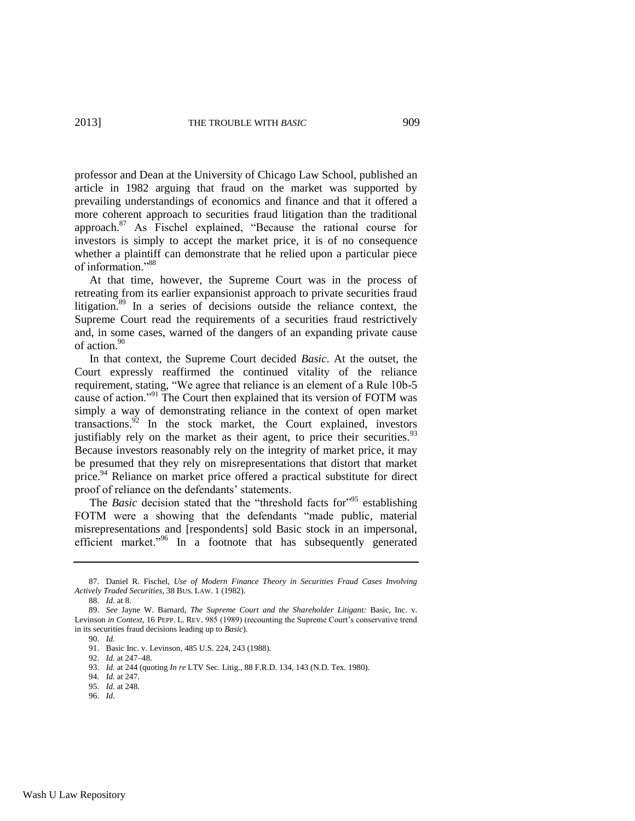<span id="page-15-2"></span>professor and Dean at the University of Chicago Law School, published an article in 1982 arguing that fraud on the market was supported by prevailing understandings of economics and finance and that it offered a more coherent approach to securities fraud litigation than the traditional approach.<sup>87</sup> As Fischel explained, "Because the rational course for investors is simply to accept the market price, it is of no consequence whether a plaintiff can demonstrate that he relied upon a particular piece of information<sup>"88</sup>

<span id="page-15-0"></span>At that time, however, the Supreme Court was in the process of retreating from its earlier expansionist approach to private securities fraud litigation.<sup>89</sup> In a series of decisions outside the reliance context, the Supreme Court read the requirements of a securities fraud restrictively and, in some cases, warned of the dangers of an expanding private cause of action.<sup>90</sup>

In that context, the Supreme Court decided *Basic*. At the outset, the Court expressly reaffirmed the continued vitality of the reliance requirement, stating, "We agree that reliance is an element of a Rule 10b-5 cause of action."<sup>91</sup> The Court then explained that its version of FOTM was simply a way of demonstrating reliance in the context of open market transactions. $92$  In the stock market, the Court explained, investors justifiably rely on the market as their agent, to price their securities.<sup>93</sup> Because investors reasonably rely on the integrity of market price, it may be presumed that they rely on misrepresentations that distort that market price.<sup>94</sup> Reliance on market price offered a practical substitute for direct proof of reliance on the defendants' statements.

<span id="page-15-1"></span>The *Basic* decision stated that the "threshold facts for"<sup>95</sup> establishing FOTM were a showing that the defendants "made public, material misrepresentations and [respondents] sold Basic stock in an impersonal, efficient market."<sup>96</sup> In a footnote that has subsequently generated

<sup>87.</sup> Daniel R. Fischel, *Use of Modern Finance Theory in Securities Fraud Cases Involving Actively Traded Securities*, 38 BUS. LAW. 1 (1982).

<sup>88.</sup> *Id.* at 8.

<sup>89.</sup> *See* Jayne W. Barnard, *The Supreme Court and the Shareholder Litigant:* Basic, Inc. v. Levinson *in Context*, 16 PEPP. L. REV. 985 (1989) (recounting the Supreme Court's conservative trend in its securities fraud decisions leading up to *Basic*).

<sup>90.</sup> *Id.*

<sup>91.</sup> Basic Inc. v. Levinson, 485 U.S. 224, 243 (1988).

<sup>92.</sup> *Id.* at 247–48.

<sup>93.</sup> *Id.* at 244 (quoting *In re* LTV Sec. Litig., 88 F.R.D. 134, 143 (N.D. Tex. 1980).

<sup>94.</sup> *Id.* at 247.

<sup>95.</sup> *Id.* at 248.

<sup>96.</sup> *Id.*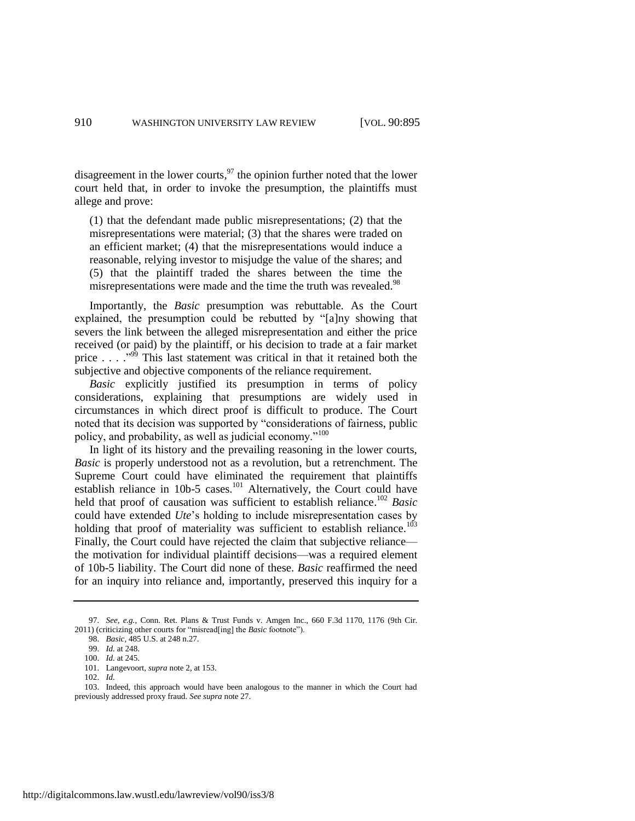disagreement in the lower courts,  $\frac{97}{10}$  the opinion further noted that the lower court held that, in order to invoke the presumption, the plaintiffs must allege and prove:

<span id="page-16-0"></span>(1) that the defendant made public misrepresentations; (2) that the misrepresentations were material; (3) that the shares were traded on an efficient market; (4) that the misrepresentations would induce a reasonable, relying investor to misjudge the value of the shares; and (5) that the plaintiff traded the shares between the time the misrepresentations were made and the time the truth was revealed.<sup>98</sup>

Importantly, the *Basic* presumption was rebuttable. As the Court explained, the presumption could be rebutted by "[a]ny showing that severs the link between the alleged misrepresentation and either the price received (or paid) by the plaintiff, or his decision to trade at a fair market price  $\ldots$  . . .<sup>999</sup> This last statement was critical in that it retained both the subjective and objective components of the reliance requirement.

<span id="page-16-1"></span>*Basic* explicitly justified its presumption in terms of policy considerations, explaining that presumptions are widely used in circumstances in which direct proof is difficult to produce. The Court noted that its decision was supported by "considerations of fairness, public policy, and probability, as well as judicial economy."<sup>100</sup>

In light of its history and the prevailing reasoning in the lower courts, *Basic* is properly understood not as a revolution, but a retrenchment. The Supreme Court could have eliminated the requirement that plaintiffs establish reliance in 10b-5 cases.<sup>101</sup> Alternatively, the Court could have held that proof of causation was sufficient to establish reliance. <sup>102</sup> *Basic* could have extended *Ute*'s holding to include misrepresentation cases by holding that proof of materiality was sufficient to establish reliance.<sup>103</sup> Finally, the Court could have rejected the claim that subjective reliance the motivation for individual plaintiff decisions—was a required element of 10b-5 liability. The Court did none of these. *Basic* reaffirmed the need for an inquiry into reliance and, importantly, preserved this inquiry for a

<sup>97.</sup> *See, e.g.*, Conn. Ret. Plans & Trust Funds v. Amgen Inc., 660 F.3d 1170, 1176 (9th Cir. 2011) (criticizing other courts for "misread[ing] the *Basic* footnote").

<sup>98.</sup> *Basic*, 485 U.S. at 248 n.27.

<sup>99.</sup> *Id.* at 248.

<sup>100.</sup> *Id.* at 245.

<sup>101.</sup> Langevoort, *supra* not[e 2,](#page-2-0) at 153.

<sup>102.</sup> *Id.*

<sup>103.</sup> Indeed, this approach would have been analogous to the manner in which the Court had previously addressed proxy fraud. *See supra* not[e 27.](#page-6-1)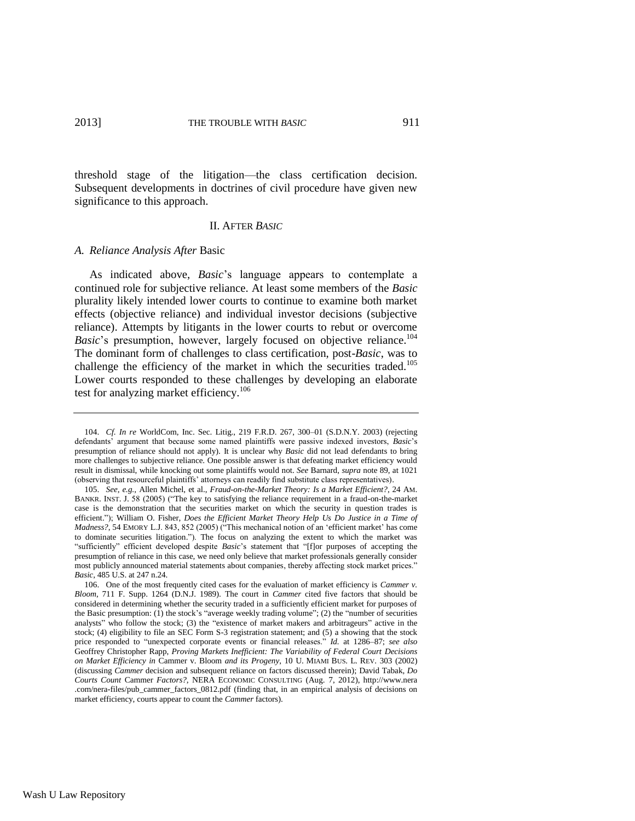threshold stage of the litigation—the class certification decision. Subsequent developments in doctrines of civil procedure have given new significance to this approach.

#### <span id="page-17-0"></span>II. AFTER *BASIC*

#### *A. Reliance Analysis After* Basic

As indicated above, *Basic*'s language appears to contemplate a continued role for subjective reliance. At least some members of the *Basic* plurality likely intended lower courts to continue to examine both market effects (objective reliance) and individual investor decisions (subjective reliance). Attempts by litigants in the lower courts to rebut or overcome *Basic*'s presumption, however, largely focused on objective reliance.<sup>104</sup> The dominant form of challenges to class certification, post-*Basic*, was to challenge the efficiency of the market in which the securities traded.<sup>105</sup> Lower courts responded to these challenges by developing an elaborate test for analyzing market efficiency.<sup>106</sup>

<sup>104.</sup> *Cf. In re* WorldCom, Inc. Sec. Litig., 219 F.R.D. 267, 300–01 (S.D.N.Y. 2003) (rejecting defendants' argument that because some named plaintiffs were passive indexed investors, *Basic*'s presumption of reliance should not apply). It is unclear why *Basic* did not lead defendants to bring more challenges to subjective reliance. One possible answer is that defeating market efficiency would result in dismissal, while knocking out some plaintiffs would not. *See* Barnard, *supra* not[e 89,](#page-15-0) at 1021 (observing that resourceful plaintiffs' attorneys can readily find substitute class representatives).

<sup>105.</sup> *See, e.g.*, Allen Michel, et al., *Fraud-on-the-Market Theory: Is a Market Efficient?*, 24 AM. BANKR. INST. J. 58 (2005) ("The key to satisfying the reliance requirement in a fraud-on-the-market case is the demonstration that the securities market on which the security in question trades is efficient."); William O. Fisher, *Does the Efficient Market Theory Help Us Do Justice in a Time of Madness?*, 54 EMORY L.J. 843, 852 (2005) ("This mechanical notion of an 'efficient market' has come to dominate securities litigation."). The focus on analyzing the extent to which the market was "sufficiently" efficient developed despite *Basic*'s statement that "[f]or purposes of accepting the presumption of reliance in this case, we need only believe that market professionals generally consider most publicly announced material statements about companies, thereby affecting stock market prices." *Basic*, 485 U.S. at 247 n.24.

<sup>106.</sup> One of the most frequently cited cases for the evaluation of market efficiency is *Cammer v. Bloom*, 711 F. Supp. 1264 (D.N.J. 1989). The court in *Cammer* cited five factors that should be considered in determining whether the security traded in a sufficiently efficient market for purposes of the Basic presumption: (1) the stock's "average weekly trading volume"; (2) the "number of securities analysts" who follow the stock; (3) the "existence of market makers and arbitrageurs" active in the stock; (4) eligibility to file an SEC Form S-3 registration statement; and (5) a showing that the stock price responded to "unexpected corporate events or financial releases." *Id.* at 1286–87; *see also* Geoffrey Christopher Rapp, *Proving Markets Inefficient: The Variability of Federal Court Decisions on Market Efficiency in* Cammer v. Bloom *and its Progeny*, 10 U. MIAMI BUS. L. REV. 303 (2002) (discussing *Cammer* decision and subsequent reliance on factors discussed therein); David Tabak, *Do Courts Count* Cammer *Factors?*, NERA ECONOMIC CONSULTING (Aug. 7, 2012), http://www.nera .com/nera-files/pub\_cammer\_factors\_0812.pdf (finding that, in an empirical analysis of decisions on market efficiency, courts appear to count the *Cammer* factors).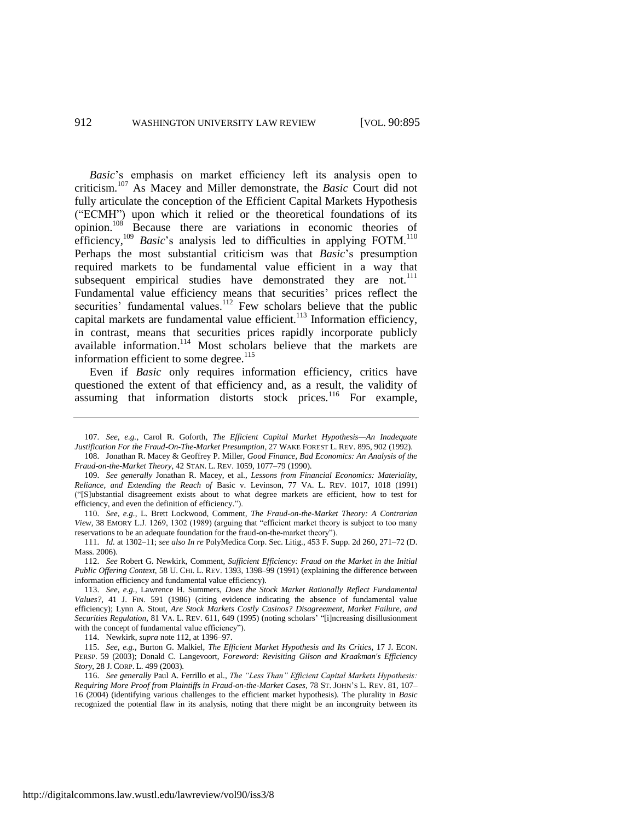<span id="page-18-1"></span>*Basic*'s emphasis on market efficiency left its analysis open to criticism.<sup>107</sup> As Macey and Miller demonstrate, the *Basic* Court did not fully articulate the conception of the Efficient Capital Markets Hypothesis ("ECMH") upon which it relied or the theoretical foundations of its opinion.<sup>108</sup> Because there are variations in economic theories of efficiency,<sup>109</sup> *Basic*'s analysis led to difficulties in applying FOTM.<sup>110</sup> Perhaps the most substantial criticism was that *Basic*'s presumption required markets to be fundamental value efficient in a way that subsequent empirical studies have demonstrated they are not.<sup>111</sup> Fundamental value efficiency means that securities' prices reflect the securities' fundamental values.<sup>112</sup> Few scholars believe that the public capital markets are fundamental value efficient.<sup>113</sup> Information efficiency, in contrast, means that securities prices rapidly incorporate publicly available information.<sup>114</sup> Most scholars believe that the markets are information efficient to some degree.<sup>115</sup>

<span id="page-18-0"></span>Even if *Basic* only requires information efficiency, critics have questioned the extent of that efficiency and, as a result, the validity of assuming that information distorts stock prices.<sup>116</sup> For example,

114. Newkirk, *supra* note [112,](#page-18-0) at 1396–97.

<sup>107.</sup> *See, e.g.*, Carol R. Goforth, *The Efficient Capital Market Hypothesis—An Inadequate Justification For the Fraud-On-The-Market Presumption*, 27 WAKE FOREST L. REV. 895, 902 (1992). 108. Jonathan R. Macey & Geoffrey P. Miller, *Good Finance, Bad Economics: An Analysis of the* 

*Fraud-on-the-Market Theory*, 42 STAN. L. REV. 1059, 1077–79 (1990).

<sup>109.</sup> *See generally* Jonathan R. Macey, et al., *Lessons from Financial Economics: Materiality, Reliance, and Extending the Reach of* Basic v. Levinson, 77 VA. L. REV. 1017, 1018 (1991) ("[S]ubstantial disagreement exists about to what degree markets are efficient, how to test for efficiency, and even the definition of efficiency.").

<sup>110.</sup> *See, e.g.*, L. Brett Lockwood, Comment, *The Fraud-on-the-Market Theory: A Contrarian View*, 38 EMORY L.J. 1269, 1302 (1989) (arguing that "efficient market theory is subject to too many reservations to be an adequate foundation for the fraud-on-the-market theory").

<sup>111.</sup> *Id.* at 1302–11; *see also In re* PolyMedica Corp. Sec. Litig., 453 F. Supp. 2d 260, 271–72 (D. Mass. 2006).

<sup>112.</sup> *See* Robert G. Newkirk, Comment, *Sufficient Efficiency: Fraud on the Market in the Initial Public Offering Context*, 58 U. CHI. L. REV. 1393, 1398–99 (1991) (explaining the difference between information efficiency and fundamental value efficiency).

<sup>113.</sup> *See, e.g.*, Lawrence H. Summers, *Does the Stock Market Rationally Reflect Fundamental Values?*, 41 J. FIN. 591 (1986) (citing evidence indicating the absence of fundamental value efficiency); Lynn A. Stout, *Are Stock Markets Costly Casinos? Disagreement, Market Failure, and Securities Regulation*, 81 VA. L. REV. 611, 649 (1995) (noting scholars' "[i]ncreasing disillusionment with the concept of fundamental value efficiency").

<sup>115.</sup> *See, e.g.*, Burton G. Malkiel, *The Efficient Market Hypothesis and Its Critics*, 17 J. ECON. PERSP. 59 (2003); Donald C. Langevoort, *Foreword: Revisiting Gilson and Kraakman's Efficiency Story*, 28 J. CORP. L. 499 (2003).

<sup>116.</sup> *See generally* Paul A. Ferrillo et al., *The "Less Than" Efficient Capital Markets Hypothesis: Requiring More Proof from Plaintiffs in Fraud-on-the-Market Cases*, 78 ST. JOHN'S L. REV. 81, 107– 16 (2004) (identifying various challenges to the efficient market hypothesis). The plurality in *Basic* recognized the potential flaw in its analysis, noting that there might be an incongruity between its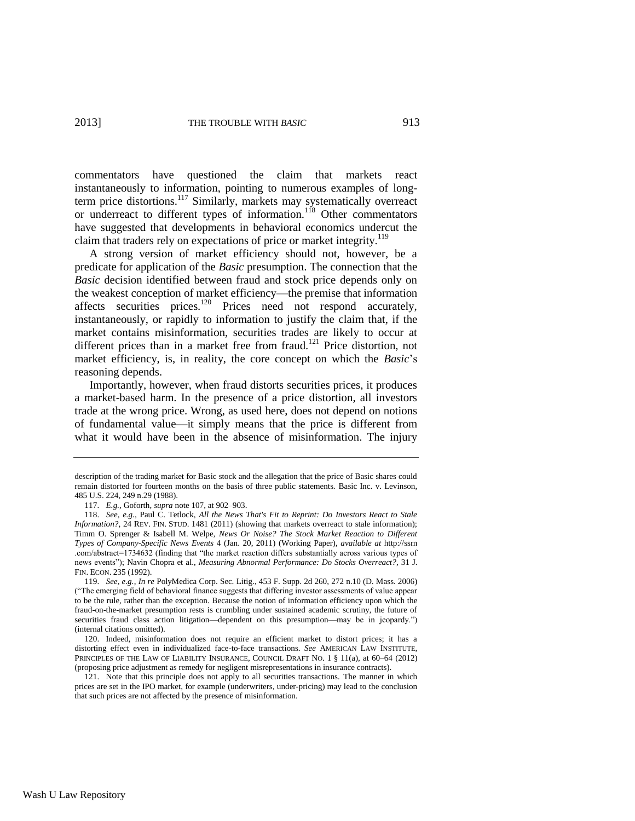commentators have questioned the claim that markets react instantaneously to information, pointing to numerous examples of longterm price distortions.<sup>117</sup> Similarly, markets may systematically overreact or underreact to different types of information.<sup>118</sup> Other commentators have suggested that developments in behavioral economics undercut the claim that traders rely on expectations of price or market integrity.<sup>119</sup>

A strong version of market efficiency should not, however, be a predicate for application of the *Basic* presumption. The connection that the *Basic* decision identified between fraud and stock price depends only on the weakest conception of market efficiency—the premise that information affects securities prices.<sup>120</sup> Prices need not respond accurately, instantaneously, or rapidly to information to justify the claim that, if the market contains misinformation, securities trades are likely to occur at different prices than in a market free from fraud.<sup>121</sup> Price distortion, not market efficiency, is, in reality, the core concept on which the *Basic*'s reasoning depends.

Importantly, however, when fraud distorts securities prices, it produces a market-based harm. In the presence of a price distortion, all investors trade at the wrong price. Wrong, as used here, does not depend on notions of fundamental value—it simply means that the price is different from what it would have been in the absence of misinformation. The injury

description of the trading market for Basic stock and the allegation that the price of Basic shares could remain distorted for fourteen months on the basis of three public statements. Basic Inc. v. Levinson, 485 U.S. 224, 249 n.29 (1988).

<sup>117.</sup> *E.g.*, Goforth, *supra* note [107,](#page-18-1) at 902–903.

<sup>118.</sup> *See, e.g.*, Paul C. Tetlock, *All the News That's Fit to Reprint: Do Investors React to Stale Information?*, 24 REV. FIN. STUD. 1481 (2011) (showing that markets overreact to stale information); Timm O. Sprenger & Isabell M. Welpe, *News Or Noise? The Stock Market Reaction to Different Types of Company-Specific News Events* 4 (Jan. 20, 2011) (Working Paper), *available at* http://ssrn .com/abstract=1734632 (finding that "the market reaction differs substantially across various types of news events"); Navin Chopra et al., *Measuring Abnormal Performance: Do Stocks Overreact?*, 31 J. FIN. ECON. 235 (1992).

<sup>119.</sup> *See, e.g.*, *In re* PolyMedica Corp. Sec. Litig., 453 F. Supp. 2d 260, 272 n.10 (D. Mass. 2006) ("The emerging field of behavioral finance suggests that differing investor assessments of value appear to be the rule, rather than the exception. Because the notion of information efficiency upon which the fraud-on-the-market presumption rests is crumbling under sustained academic scrutiny, the future of securities fraud class action litigation—dependent on this presumption—may be in jeopardy.") (internal citations omitted).

<sup>120.</sup> Indeed, misinformation does not require an efficient market to distort prices; it has a distorting effect even in individualized face-to-face transactions. *See* AMERICAN LAW INSTITUTE, PRINCIPLES OF THE LAW OF LIABILITY INSURANCE, COUNCIL DRAFT NO. 1 § 11(a), at 60–64 (2012) (proposing price adjustment as remedy for negligent misrepresentations in insurance contracts).

<sup>121.</sup> Note that this principle does not apply to all securities transactions. The manner in which prices are set in the IPO market, for example (underwriters, under-pricing) may lead to the conclusion that such prices are not affected by the presence of misinformation.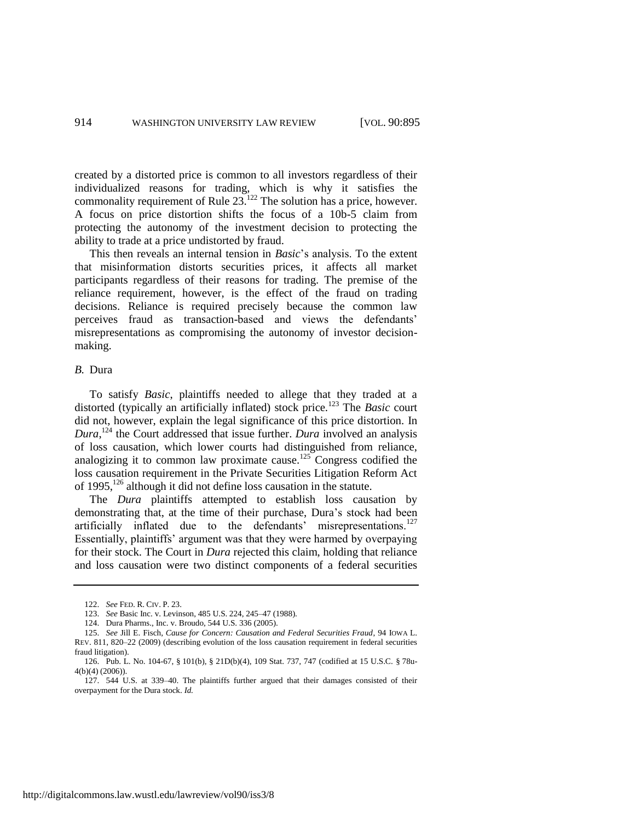created by a distorted price is common to all investors regardless of their individualized reasons for trading, which is why it satisfies the commonality requirement of Rule  $23.122$  The solution has a price, however. A focus on price distortion shifts the focus of a 10b-5 claim from protecting the autonomy of the investment decision to protecting the ability to trade at a price undistorted by fraud.

This then reveals an internal tension in *Basic*'s analysis. To the extent that misinformation distorts securities prices, it affects all market participants regardless of their reasons for trading. The premise of the reliance requirement, however, is the effect of the fraud on trading decisions. Reliance is required precisely because the common law perceives fraud as transaction-based and views the defendants' misrepresentations as compromising the autonomy of investor decisionmaking.

### *B.* Dura

To satisfy *Basic*, plaintiffs needed to allege that they traded at a distorted (typically an artificially inflated) stock price.<sup>123</sup> The *Basic* court did not, however, explain the legal significance of this price distortion. In *Dura*, <sup>124</sup> the Court addressed that issue further. *Dura* involved an analysis of loss causation, which lower courts had distinguished from reliance, analogizing it to common law proximate cause.<sup>125</sup> Congress codified the loss causation requirement in the Private Securities Litigation Reform Act of  $1995$ ,  $126$  although it did not define loss causation in the statute.

<span id="page-20-0"></span>The *Dura* plaintiffs attempted to establish loss causation by demonstrating that, at the time of their purchase, Dura's stock had been artificially inflated due to the defendants' misrepresentations.<sup>127</sup> Essentially, plaintiffs' argument was that they were harmed by overpaying for their stock. The Court in *Dura* rejected this claim, holding that reliance and loss causation were two distinct components of a federal securities

<span id="page-20-1"></span><sup>122.</sup> *See* FED. R. CIV. P. 23.

<sup>123.</sup> *See* Basic Inc. v. Levinson, 485 U.S. 224, 245–47 (1988).

<sup>124.</sup> Dura Pharms., Inc. v. Broudo, 544 U.S. 336 (2005).

<sup>125.</sup> *See* Jill E. Fisch, *Cause for Concern: Causation and Federal Securities Fraud*, 94 IOWA L. REV. 811, 820–22 (2009) (describing evolution of the loss causation requirement in federal securities fraud litigation).

<sup>126.</sup> Pub. L. No. 104-67, § 101(b), § 21D(b)(4), 109 Stat. 737, 747 (codified at 15 U.S.C. § 78u-4(b)(4) (2006)).

<sup>127.</sup> 544 U.S. at 339–40. The plaintiffs further argued that their damages consisted of their overpayment for the Dura stock. *Id.*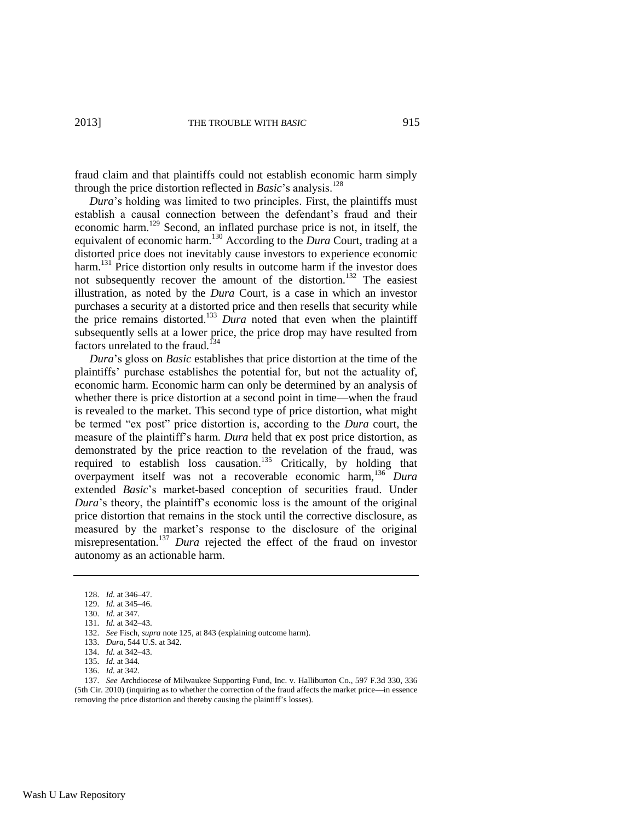fraud claim and that plaintiffs could not establish economic harm simply through the price distortion reflected in *Basic*'s analysis.<sup>128</sup>

<span id="page-21-0"></span>*Dura*'s holding was limited to two principles. First, the plaintiffs must establish a causal connection between the defendant's fraud and their economic harm.<sup>129</sup> Second, an inflated purchase price is not, in itself, the equivalent of economic harm.<sup>130</sup> According to the *Dura* Court, trading at a distorted price does not inevitably cause investors to experience economic harm.<sup>131</sup> Price distortion only results in outcome harm if the investor does not subsequently recover the amount of the distortion.<sup>132</sup> The easiest illustration, as noted by the *Dura* Court, is a case in which an investor purchases a security at a distorted price and then resells that security while the price remains distorted.<sup>133</sup> *Dura* noted that even when the plaintiff subsequently sells at a lower price, the price drop may have resulted from factors unrelated to the fraud.<sup>134</sup>

<span id="page-21-1"></span>*Dura*'s gloss on *Basic* establishes that price distortion at the time of the plaintiffs' purchase establishes the potential for, but not the actuality of, economic harm. Economic harm can only be determined by an analysis of whether there is price distortion at a second point in time—when the fraud is revealed to the market. This second type of price distortion, what might be termed "ex post" price distortion is, according to the *Dura* court, the measure of the plaintiff's harm. *Dura* held that ex post price distortion, as demonstrated by the price reaction to the revelation of the fraud, was required to establish loss causation.<sup>135</sup> Critically, by holding that overpayment itself was not a recoverable economic harm,<sup>136</sup> *Dura* extended *Basic*'s market-based conception of securities fraud. Under *Dura*'s theory, the plaintiff's economic loss is the amount of the original price distortion that remains in the stock until the corrective disclosure, as measured by the market's response to the disclosure of the original misrepresentation.<sup>137</sup> *Dura* rejected the effect of the fraud on investor autonomy as an actionable harm.

137. *See* Archdiocese of Milwaukee Supporting Fund, Inc. v. Halliburton Co., 597 F.3d 330, 336 (5th Cir. 2010) (inquiring as to whether the correction of the fraud affects the market price—in essence removing the price distortion and thereby causing the plaintiff's losses).

<sup>128.</sup> *Id.* at 346–47.

<sup>129.</sup> *Id.* at 345–46.

<sup>130.</sup> *Id.* at 347.

<sup>131.</sup> *Id.* at 342–43.

<sup>132.</sup> *See* Fisch, *supra* note [125,](#page-20-0) at 843 (explaining outcome harm).

<sup>133.</sup> *Dura*, 544 U.S. at 342.

<sup>134.</sup> *Id.* at 342–43.

<sup>135.</sup> *Id.* at 344.

<sup>136.</sup> *Id.* at 342.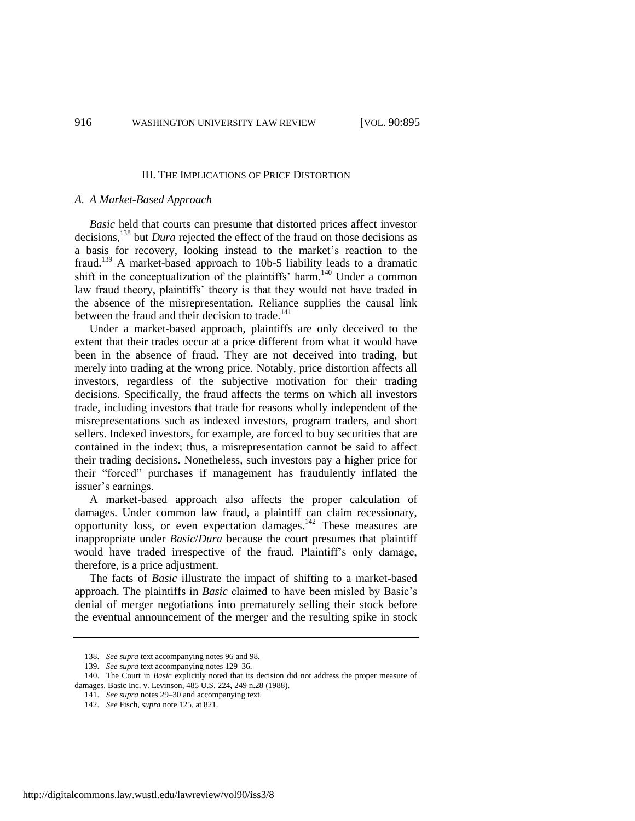#### III. THE IMPLICATIONS OF PRICE DISTORTION

#### *A. A Market-Based Approach*

*Basic* held that courts can presume that distorted prices affect investor decisions,<sup>138</sup> but *Dura* rejected the effect of the fraud on those decisions as a basis for recovery, looking instead to the market's reaction to the fraud.<sup>139</sup> A market-based approach to 10b-5 liability leads to a dramatic shift in the conceptualization of the plaintiffs' harm.<sup>140</sup> Under a common law fraud theory, plaintiffs' theory is that they would not have traded in the absence of the misrepresentation. Reliance supplies the causal link between the fraud and their decision to trade.<sup>141</sup>

Under a market-based approach, plaintiffs are only deceived to the extent that their trades occur at a price different from what it would have been in the absence of fraud. They are not deceived into trading, but merely into trading at the wrong price. Notably, price distortion affects all investors, regardless of the subjective motivation for their trading decisions. Specifically, the fraud affects the terms on which all investors trade, including investors that trade for reasons wholly independent of the misrepresentations such as indexed investors, program traders, and short sellers. Indexed investors, for example, are forced to buy securities that are contained in the index; thus, a misrepresentation cannot be said to affect their trading decisions. Nonetheless, such investors pay a higher price for their "forced" purchases if management has fraudulently inflated the issuer's earnings.

A market-based approach also affects the proper calculation of damages. Under common law fraud, a plaintiff can claim recessionary, opportunity loss, or even expectation damages.<sup>142</sup> These measures are inappropriate under *Basic*/*Dura* because the court presumes that plaintiff would have traded irrespective of the fraud. Plaintiff's only damage, therefore, is a price adjustment.

The facts of *Basic* illustrate the impact of shifting to a market-based approach. The plaintiffs in *Basic* claimed to have been misled by Basic's denial of merger negotiations into prematurely selling their stock before the eventual announcement of the merger and the resulting spike in stock

<sup>138.</sup> *See supra* text accompanying note[s 96](#page-15-1) an[d 98.](#page-16-0)

<sup>139.</sup> *See supra* text accompanying note[s 129–](#page-21-0)36.

<sup>140.</sup> The Court in *Basic* explicitly noted that its decision did not address the proper measure of damages. Basic Inc. v. Levinson, 485 U.S. 224, 249 n.28 (1988).

<sup>141.</sup> *See supra* note[s 29](#page-6-2)[–30](#page-7-0) and accompanying text.

<sup>142.</sup> *See* Fisch, *supra* not[e 125,](#page-20-0) at 821.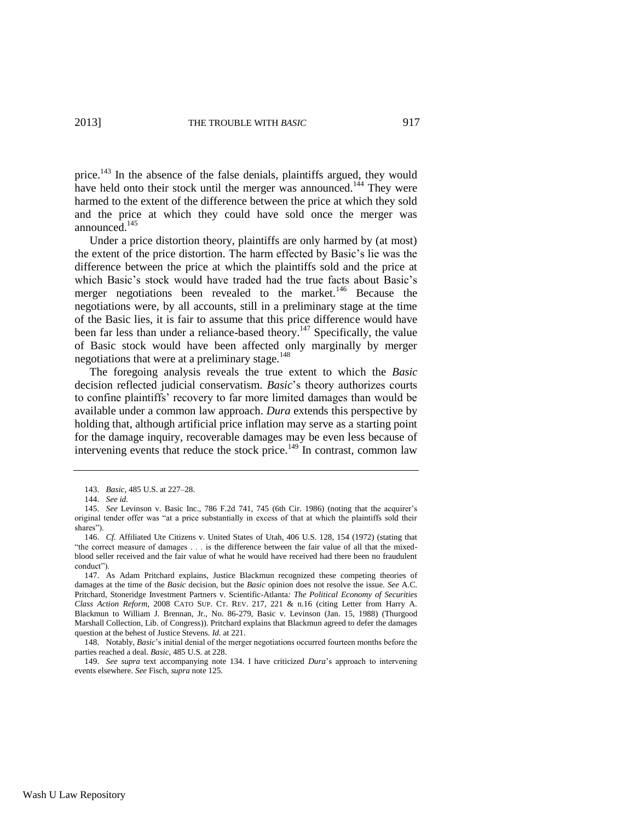price.<sup>143</sup> In the absence of the false denials, plaintiffs argued, they would have held onto their stock until the merger was announced.<sup>144</sup> They were harmed to the extent of the difference between the price at which they sold and the price at which they could have sold once the merger was announced.<sup>145</sup>

<span id="page-23-0"></span>Under a price distortion theory, plaintiffs are only harmed by (at most) the extent of the price distortion. The harm effected by Basic's lie was the difference between the price at which the plaintiffs sold and the price at which Basic's stock would have traded had the true facts about Basic's merger negotiations been revealed to the market.<sup>146</sup> Because the negotiations were, by all accounts, still in a preliminary stage at the time of the Basic lies, it is fair to assume that this price difference would have been far less than under a reliance-based theory.<sup>147</sup> Specifically, the value of Basic stock would have been affected only marginally by merger negotiations that were at a preliminary stage.<sup>148</sup>

The foregoing analysis reveals the true extent to which the *Basic* decision reflected judicial conservatism. *Basic*'s theory authorizes courts to confine plaintiffs' recovery to far more limited damages than would be available under a common law approach. *Dura* extends this perspective by holding that, although artificial price inflation may serve as a starting point for the damage inquiry, recoverable damages may be even less because of intervening events that reduce the stock price.<sup>149</sup> In contrast, common law

<sup>143.</sup> *Basic*, 485 U.S. at 227–28.

<sup>144.</sup> *See id.*

<sup>145.</sup> *See* Levinson v. Basic Inc., 786 F.2d 741, 745 (6th Cir. 1986) (noting that the acquirer's original tender offer was "at a price substantially in excess of that at which the plaintiffs sold their shares").

<sup>146.</sup> *Cf.* Affiliated Ute Citizens v. United States of Utah, 406 U.S. 128, 154 (1972) (stating that "the correct measure of damages . . . is the difference between the fair value of all that the mixedblood seller received and the fair value of what he would have received had there been no fraudulent conduct").

<sup>147.</sup> As Adam Pritchard explains, Justice Blackmun recognized these competing theories of damages at the time of the *Basic* decision, but the *Basic* opinion does not resolve the issue. *See* A.C. Pritchard, Stoneridge Investment Partners v. Scientific-Atlanta*: The Political Economy of Securities Class Action Reform*, 2008 CATO SUP. CT. REV. 217, 221 & n.16 (citing Letter from Harry A. Blackmun to William J. Brennan, Jr., No. 86-279, Basic v. Levinson (Jan. 15, 1988) (Thurgood Marshall Collection, Lib. of Congress)). Pritchard explains that Blackmun agreed to defer the damages question at the behest of Justice Stevens. *Id.* at 221.

<sup>148.</sup> Notably, *Basic*'s initial denial of the merger negotiations occurred fourteen months before the parties reached a deal. *Basic*, 485 U.S. at 228.

<sup>149.</sup> *See supra* text accompanying note [134.](#page-21-1) I have criticized *Dura*'s approach to intervening events elsewhere. *See* Fisch, *supra* note [125.](#page-20-0)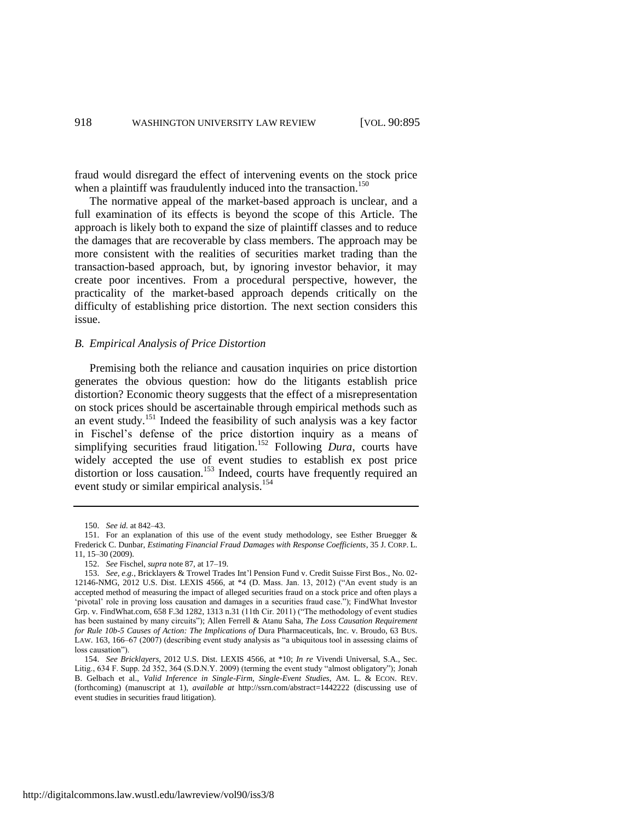fraud would disregard the effect of intervening events on the stock price when a plaintiff was fraudulently induced into the transaction.<sup>150</sup>

The normative appeal of the market-based approach is unclear, and a full examination of its effects is beyond the scope of this Article. The approach is likely both to expand the size of plaintiff classes and to reduce the damages that are recoverable by class members. The approach may be more consistent with the realities of securities market trading than the transaction-based approach, but, by ignoring investor behavior, it may create poor incentives. From a procedural perspective, however, the practicality of the market-based approach depends critically on the difficulty of establishing price distortion. The next section considers this issue.

#### *B. Empirical Analysis of Price Distortion*

Premising both the reliance and causation inquiries on price distortion generates the obvious question: how do the litigants establish price distortion? Economic theory suggests that the effect of a misrepresentation on stock prices should be ascertainable through empirical methods such as an event study.<sup>151</sup> Indeed the feasibility of such analysis was a key factor in Fischel's defense of the price distortion inquiry as a means of simplifying securities fraud litigation.<sup>152</sup> Following *Dura*, courts have widely accepted the use of event studies to establish ex post price distortion or loss causation.<sup>153</sup> Indeed, courts have frequently required an event study or similar empirical analysis.<sup>154</sup>

<span id="page-24-0"></span><sup>150.</sup> *See id.* at 842–43.

<sup>151.</sup> For an explanation of this use of the event study methodology, see Esther Bruegger & Frederick C. Dunbar, *Estimating Financial Fraud Damages with Response Coefficients*, 35 J. CORP. L. 11, 15–30 (2009).

<sup>152.</sup> *See* Fischel, *supra* not[e 87,](#page-15-2) at 17–19.

<sup>153.</sup> *See, e.g.*, Bricklayers & Trowel Trades Int'l Pension Fund v. Credit Suisse First Bos., No. 02- 12146-NMG, 2012 U.S. Dist. LEXIS 4566, at \*4 (D. Mass. Jan. 13, 2012) ("An event study is an accepted method of measuring the impact of alleged securities fraud on a stock price and often plays a 'pivotal' role in proving loss causation and damages in a securities fraud case."); FindWhat Investor Grp. v. FindWhat.com, 658 F.3d 1282, 1313 n.31 (11th Cir. 2011) ("The methodology of event studies has been sustained by many circuits"); Allen Ferrell & Atanu Saha, *The Loss Causation Requirement for Rule 10b-5 Causes of Action: The Implications of* Dura Pharmaceuticals, Inc. v. Broudo, 63 BUS. LAW. 163, 166–67 (2007) (describing event study analysis as "a ubiquitous tool in assessing claims of loss causation").

<sup>154.</sup> *See Bricklayers*, 2012 U.S. Dist. LEXIS 4566, at \*10; *In re* Vivendi Universal, S.A., Sec. Litig., 634 F. Supp. 2d 352, 364 (S.D.N.Y. 2009) (terming the event study "almost obligatory"); Jonah B. Gelbach et al., *Valid Inference in Single-Firm, Single-Event Studies*, AM. L. & ECON. REV. (forthcoming) (manuscript at 1), *available at* http://ssrn.com/abstract=1442222 (discussing use of event studies in securities fraud litigation).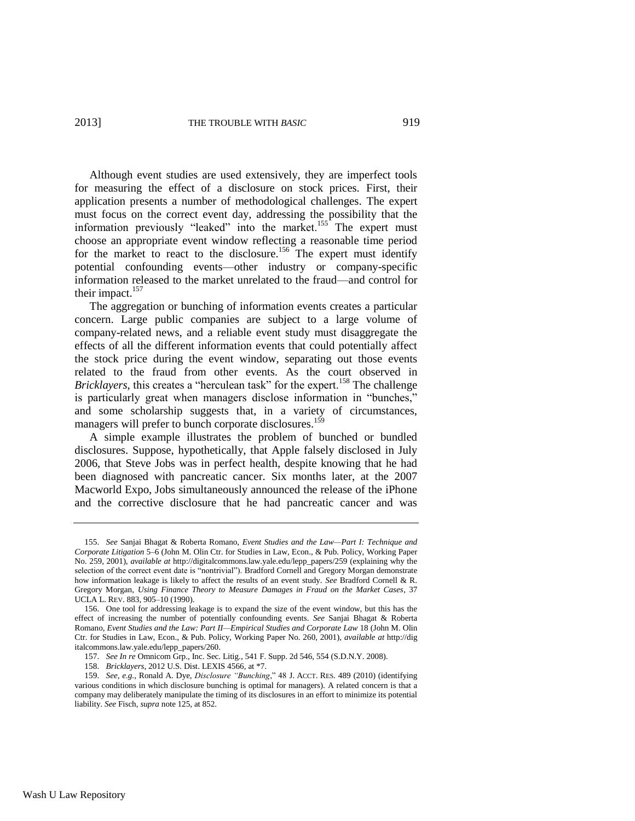<span id="page-25-0"></span>

Although event studies are used extensively, they are imperfect tools for measuring the effect of a disclosure on stock prices. First, their application presents a number of methodological challenges. The expert must focus on the correct event day, addressing the possibility that the information previously "leaked" into the market.<sup>155</sup> The expert must choose an appropriate event window reflecting a reasonable time period for the market to react to the disclosure.<sup>156</sup> The expert must identify potential confounding events—other industry or company-specific information released to the market unrelated to the fraud—and control for their impact.<sup>157</sup>

The aggregation or bunching of information events creates a particular concern. Large public companies are subject to a large volume of company-related news, and a reliable event study must disaggregate the effects of all the different information events that could potentially affect the stock price during the event window, separating out those events related to the fraud from other events. As the court observed in *Bricklayers*, this creates a "herculean task" for the expert.<sup>158</sup> The challenge is particularly great when managers disclose information in "bunches," and some scholarship suggests that, in a variety of circumstances, managers will prefer to bunch corporate disclosures.<sup>159</sup>

A simple example illustrates the problem of bunched or bundled disclosures. Suppose, hypothetically, that Apple falsely disclosed in July 2006, that Steve Jobs was in perfect health, despite knowing that he had been diagnosed with pancreatic cancer. Six months later, at the 2007 Macworld Expo, Jobs simultaneously announced the release of the iPhone and the corrective disclosure that he had pancreatic cancer and was

<sup>155.</sup> *See* Sanjai Bhagat & Roberta Romano, *Event Studies and the Law—Part I: Technique and Corporate Litigation* 5–6 (John M. Olin Ctr. for Studies in Law, Econ., & Pub. Policy, Working Paper No. 259, 2001), *available at* http://digitalcommons.law.yale.edu/lepp\_papers/259 (explaining why the selection of the correct event date is "nontrivial"). Bradford Cornell and Gregory Morgan demonstrate how information leakage is likely to affect the results of an event study. *See* Bradford Cornell & R. Gregory Morgan, *Using Finance Theory to Measure Damages in Fraud on the Market Cases*, 37 UCLA L. REV. 883, 905–10 (1990).

<sup>156.</sup> One tool for addressing leakage is to expand the size of the event window, but this has the effect of increasing the number of potentially confounding events. *See* Sanjai Bhagat & Roberta Romano, *Event Studies and the Law: Part II—Empirical Studies and Corporate Law* 18 (John M. Olin Ctr. for Studies in Law, Econ., & Pub. Policy, Working Paper No. 260, 2001), *available at* http://dig italcommons.law.yale.edu/lepp\_papers/260.

<sup>157.</sup> *See In re* Omnicom Grp., Inc. Sec. Litig., 541 F. Supp. 2d 546, 554 (S.D.N.Y. 2008).

<sup>158.</sup> *Bricklayers*, 2012 U.S. Dist. LEXIS 4566, at \*7.

<sup>159.</sup> *See, e.g.*, Ronald A. Dye, *Disclosure "Bunching*," 48 J. ACCT. RES. 489 (2010) (identifying various conditions in which disclosure bunching is optimal for managers). A related concern is that a company may deliberately manipulate the timing of its disclosures in an effort to minimize its potential liability. *See* Fisch, *supra* note [125,](#page-20-0) at 852.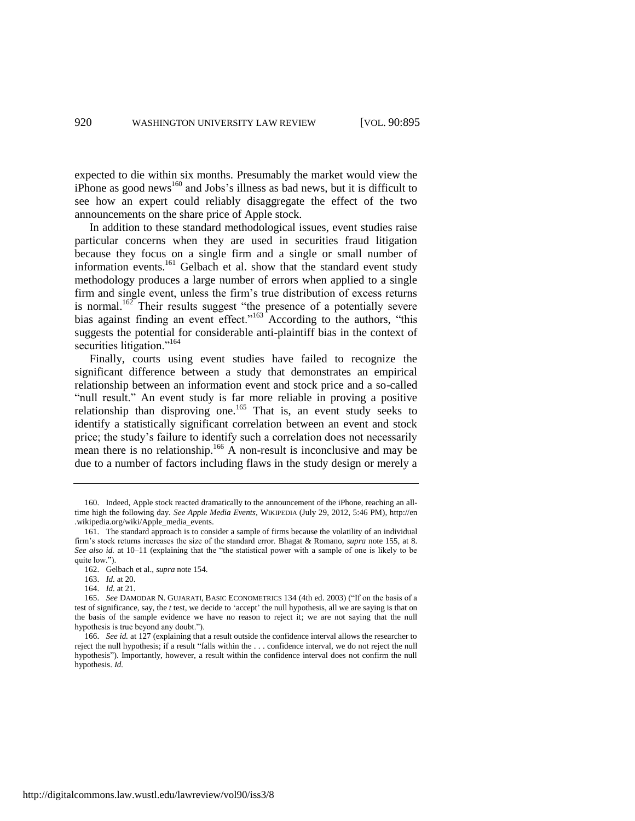expected to die within six months. Presumably the market would view the iPhone as good news $^{160}$  and Jobs's illness as bad news, but it is difficult to see how an expert could reliably disaggregate the effect of the two announcements on the share price of Apple stock.

In addition to these standard methodological issues, event studies raise particular concerns when they are used in securities fraud litigation because they focus on a single firm and a single or small number of information events.<sup>161</sup> Gelbach et al. show that the standard event study methodology produces a large number of errors when applied to a single firm and single event, unless the firm's true distribution of excess returns is normal.<sup>162</sup> Their results suggest "the presence of a potentially severe bias against finding an event effect."<sup>163</sup> According to the authors, "this suggests the potential for considerable anti-plaintiff bias in the context of securities litigation."<sup>164</sup>

Finally, courts using event studies have failed to recognize the significant difference between a study that demonstrates an empirical relationship between an information event and stock price and a so-called "null result." An event study is far more reliable in proving a positive relationship than disproving one.<sup>165</sup> That is, an event study seeks to identify a statistically significant correlation between an event and stock price; the study's failure to identify such a correlation does not necessarily mean there is no relationship.<sup>166</sup> A non-result is inconclusive and may be due to a number of factors including flaws in the study design or merely a

http://digitalcommons.law.wustl.edu/lawreview/vol90/iss3/8

<sup>160.</sup> Indeed, Apple stock reacted dramatically to the announcement of the iPhone, reaching an alltime high the following day. *See Apple Media Events*, WIKIPEDIA (July 29, 2012, 5:46 PM), http://en .wikipedia.org/wiki/Apple\_media\_events.

<sup>161.</sup> The standard approach is to consider a sample of firms because the volatility of an individual firm's stock returns increases the size of the standard error. Bhagat & Romano, *supra* note [155,](#page-25-0) at 8. *See also id.* at 10–11 (explaining that the "the statistical power with a sample of one is likely to be quite low.").

<sup>162.</sup> Gelbach et al., *supra* note [154.](#page-24-0)

<sup>163.</sup> *Id.* at 20.

<sup>164.</sup> *Id.* at 21.

<sup>165.</sup> *See* DAMODAR N. GUJARATI, BASIC ECONOMETRICS 134 (4th ed. 2003) ("If on the basis of a test of significance, say, the *t* test, we decide to 'accept' the null hypothesis, all we are saying is that on the basis of the sample evidence we have no reason to reject it; we are not saying that the null hypothesis is true beyond any doubt.").

<sup>166.</sup> *See id.* at 127 (explaining that a result outside the confidence interval allows the researcher to reject the null hypothesis; if a result "falls within the . . . confidence interval, we do not reject the null hypothesis"). Importantly, however, a result within the confidence interval does not confirm the null hypothesis. *Id.*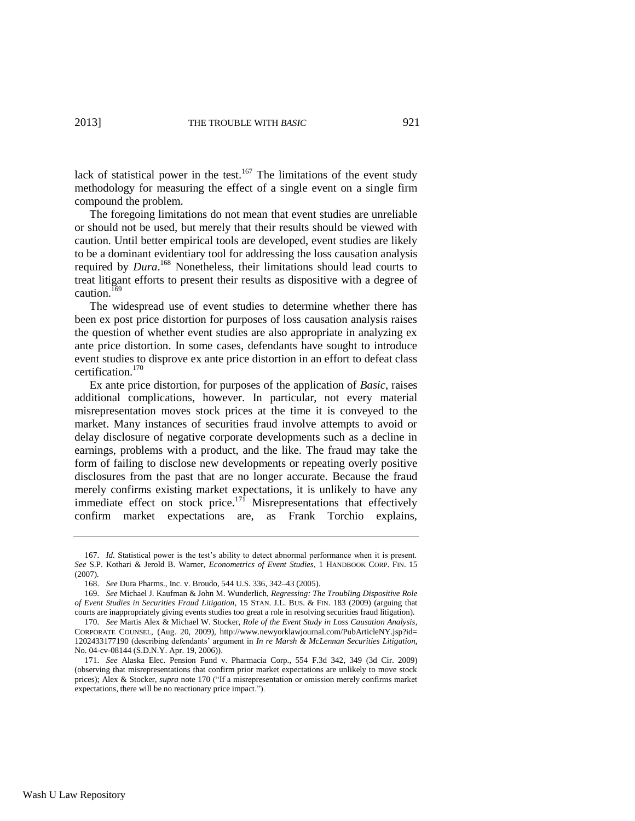lack of statistical power in the test. $167$  The limitations of the event study methodology for measuring the effect of a single event on a single firm compound the problem.

The foregoing limitations do not mean that event studies are unreliable or should not be used, but merely that their results should be viewed with caution. Until better empirical tools are developed, event studies are likely to be a dominant evidentiary tool for addressing the loss causation analysis required by *Dura*. <sup>168</sup> Nonetheless, their limitations should lead courts to treat litigant efforts to present their results as dispositive with a degree of caution.<sup>169</sup>

The widespread use of event studies to determine whether there has been ex post price distortion for purposes of loss causation analysis raises the question of whether event studies are also appropriate in analyzing ex ante price distortion. In some cases, defendants have sought to introduce event studies to disprove ex ante price distortion in an effort to defeat class certification.<sup>170</sup>

<span id="page-27-0"></span>Ex ante price distortion, for purposes of the application of *Basic*, raises additional complications, however. In particular, not every material misrepresentation moves stock prices at the time it is conveyed to the market. Many instances of securities fraud involve attempts to avoid or delay disclosure of negative corporate developments such as a decline in earnings, problems with a product, and the like. The fraud may take the form of failing to disclose new developments or repeating overly positive disclosures from the past that are no longer accurate. Because the fraud merely confirms existing market expectations, it is unlikely to have any immediate effect on stock price.<sup>171</sup> Misrepresentations that effectively confirm market expectations are, as Frank Torchio explains,

<sup>167.</sup> *Id.* Statistical power is the test's ability to detect abnormal performance when it is present. *See* S.P. Kothari & Jerold B. Warner, *Econometrics of Event Studies*, 1 HANDBOOK CORP. FIN. 15 (2007).

<sup>168.</sup> *See* Dura Pharms., Inc. v. Broudo, 544 U.S. 336, 342–43 (2005).

<sup>169.</sup> *See* Michael J. Kaufman & John M. Wunderlich, *Regressing: The Troubling Dispositive Role of Event Studies in Securities Fraud Litigation*, 15 STAN. J.L. BUS. & FIN. 183 (2009) (arguing that courts are inappropriately giving events studies too great a role in resolving securities fraud litigation).

<sup>170.</sup> *See* Martis Alex & Michael W. Stocker, *Role of the Event Study in Loss Causation Analysis*, CORPORATE COUNSEL, (Aug. 20, 2009), http://www.newyorklawjournal.com/PubArticleNY.jsp?id= 1202433177190 (describing defendants' argument in *In re Marsh & McLennan Securities Litigation*, No. 04-cv-08144 (S.D.N.Y. Apr. 19, 2006)).

<sup>171.</sup> *See* Alaska Elec. Pension Fund v. Pharmacia Corp., 554 F.3d 342, 349 (3d Cir. 2009) (observing that misrepresentations that confirm prior market expectations are unlikely to move stock prices); Alex & Stocker, *supra* not[e 170](#page-27-0) ("If a misrepresentation or omission merely confirms market expectations, there will be no reactionary price impact.").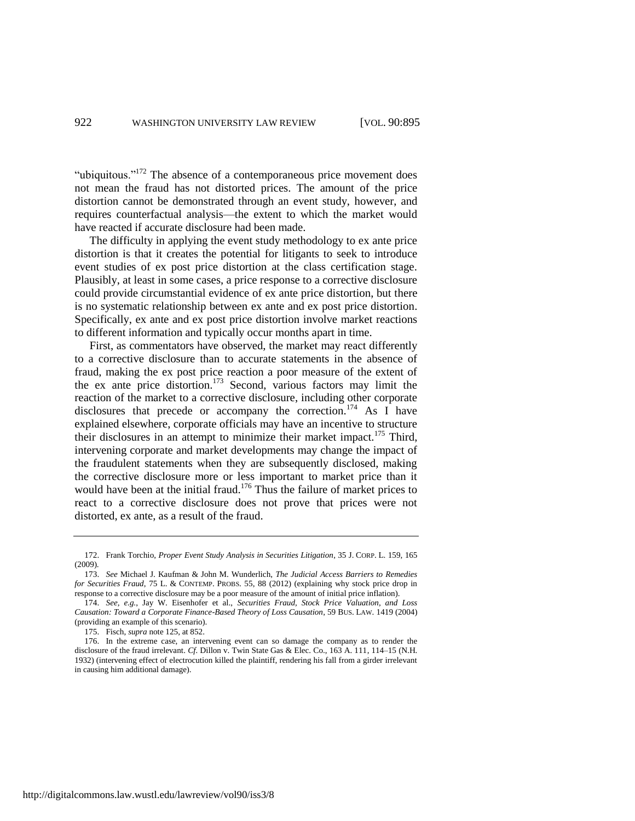"ubiquitous." $172$  The absence of a contemporaneous price movement does not mean the fraud has not distorted prices. The amount of the price distortion cannot be demonstrated through an event study, however, and requires counterfactual analysis—the extent to which the market would have reacted if accurate disclosure had been made.

The difficulty in applying the event study methodology to ex ante price distortion is that it creates the potential for litigants to seek to introduce event studies of ex post price distortion at the class certification stage. Plausibly, at least in some cases, a price response to a corrective disclosure could provide circumstantial evidence of ex ante price distortion, but there is no systematic relationship between ex ante and ex post price distortion. Specifically, ex ante and ex post price distortion involve market reactions to different information and typically occur months apart in time.

First, as commentators have observed, the market may react differently to a corrective disclosure than to accurate statements in the absence of fraud, making the ex post price reaction a poor measure of the extent of the ex ante price distortion.<sup>173</sup> Second, various factors may limit the reaction of the market to a corrective disclosure, including other corporate disclosures that precede or accompany the correction.<sup>174</sup> As I have explained elsewhere, corporate officials may have an incentive to structure their disclosures in an attempt to minimize their market impact.<sup>175</sup> Third, intervening corporate and market developments may change the impact of the fraudulent statements when they are subsequently disclosed, making the corrective disclosure more or less important to market price than it would have been at the initial fraud.<sup>176</sup> Thus the failure of market prices to react to a corrective disclosure does not prove that prices were not distorted, ex ante, as a result of the fraud.

<sup>172.</sup> Frank Torchio, *Proper Event Study Analysis in Securities Litigation*, 35 J. CORP. L. 159, 165 (2009).

<sup>173.</sup> *See* Michael J. Kaufman & John M. Wunderlich, *The Judicial Access Barriers to Remedies for Securities Fraud*, 75 L. & CONTEMP. PROBS. 55, 88 (2012) (explaining why stock price drop in response to a corrective disclosure may be a poor measure of the amount of initial price inflation).

<sup>174.</sup> *See, e.g.*, Jay W. Eisenhofer et al., *Securities Fraud, Stock Price Valuation, and Loss Causation: Toward a Corporate Finance-Based Theory of Loss Causation*, 59 BUS. LAW. 1419 (2004) (providing an example of this scenario).

<sup>175.</sup> Fisch, *supra* not[e 125,](#page-20-0) at 852.

<sup>176.</sup> In the extreme case, an intervening event can so damage the company as to render the disclosure of the fraud irrelevant. *Cf.* Dillon v. Twin State Gas & Elec. Co., 163 A. 111, 114–15 (N.H. 1932) (intervening effect of electrocution killed the plaintiff, rendering his fall from a girder irrelevant in causing him additional damage).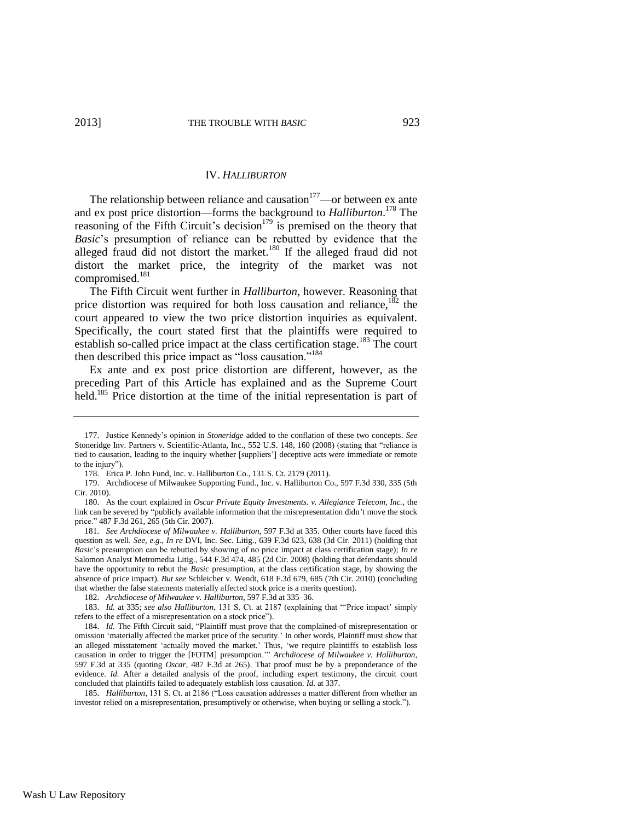# IV. *HALLIBURTON*

The relationship between reliance and causation $177$ —or between ex ante and ex post price distortion—forms the background to *Halliburton*. <sup>178</sup> The reasoning of the Fifth Circuit's decision<sup>179</sup> is premised on the theory that *Basic*'s presumption of reliance can be rebutted by evidence that the alleged fraud did not distort the market.<sup>180</sup> If the alleged fraud did not distort the market price, the integrity of the market was not compromised.<sup>181</sup>

The Fifth Circuit went further in *Halliburton*, however. Reasoning that price distortion was required for both loss causation and reliance, $182$  the court appeared to view the two price distortion inquiries as equivalent. Specifically, the court stated first that the plaintiffs were required to establish so-called price impact at the class certification stage.<sup>183</sup> The court then described this price impact as "loss causation."<sup>184</sup>

Ex ante and ex post price distortion are different, however, as the preceding Part of this Article has explained and as the Supreme Court held.<sup>185</sup> Price distortion at the time of the initial representation is part of

<sup>177.</sup> Justice Kennedy's opinion in *Stoneridge* added to the conflation of these two concepts. *See* Stoneridge Inv. Partners v. Scientific-Atlanta, Inc., 552 U.S. 148, 160 (2008) (stating that "reliance is tied to causation, leading to the inquiry whether [suppliers'] deceptive acts were immediate or remote to the injury").

<sup>178.</sup> Erica P. John Fund, Inc. v. Halliburton Co., 131 S. Ct. 2179 (2011).

<sup>179.</sup> Archdiocese of Milwaukee Supporting Fund., Inc. v. Halliburton Co., 597 F.3d 330, 335 (5th Cir. 2010).

<sup>180.</sup> As the court explained in *Oscar Private Equity Investments. v. Allegiance Telecom, Inc.*, the link can be severed by "publicly available information that the misrepresentation didn't move the stock price." 487 F.3d 261, 265 (5th Cir. 2007).

<sup>181.</sup> *See Archdiocese of Milwaukee v. Halliburton*, 597 F.3d at 335. Other courts have faced this question as well. *See, e.g.*, *In re* DVI, Inc. Sec. Litig., 639 F.3d 623, 638 (3d Cir. 2011) (holding that *Basic*'s presumption can be rebutted by showing of no price impact at class certification stage); *In re* Salomon Analyst Metromedia Litig., 544 F.3d 474, 485 (2d Cir. 2008) (holding that defendants should have the opportunity to rebut the *Basic* presumption, at the class certification stage, by showing the absence of price impact). *But see* Schleicher v. Wendt, 618 F.3d 679, 685 (7th Cir. 2010) (concluding that whether the false statements materially affected stock price is a merits question).

<sup>182.</sup> *Archdiocese of Milwaukee v. Halliburton*, 597 F.3d at 335–36.

<sup>183.</sup> *Id.* at 335; *see also Halliburton*, 131 S. Ct. at 2187 (explaining that "'Price impact' simply refers to the effect of a misrepresentation on a stock price").

<sup>184.</sup> *Id.* The Fifth Circuit said, "Plaintiff must prove that the complained-of misrepresentation or omission 'materially affected the market price of the security.' In other words, Plaintiff must show that an alleged misstatement 'actually moved the market.' Thus, 'we require plaintiffs to establish loss causation in order to trigger the [FOTM] presumption.'" *Archdiocese of Milwaukee v. Halliburton*, 597 F.3d at 335 (quoting *Oscar*, 487 F.3d at 265). That proof must be by a preponderance of the evidence. *Id.* After a detailed analysis of the proof, including expert testimony, the circuit court concluded that plaintiffs failed to adequately establish loss causation. *Id.* at 337.

<sup>185.</sup> *Halliburton*, 131 S. Ct. at 2186 ("Loss causation addresses a matter different from whether an investor relied on a misrepresentation, presumptively or otherwise, when buying or selling a stock.").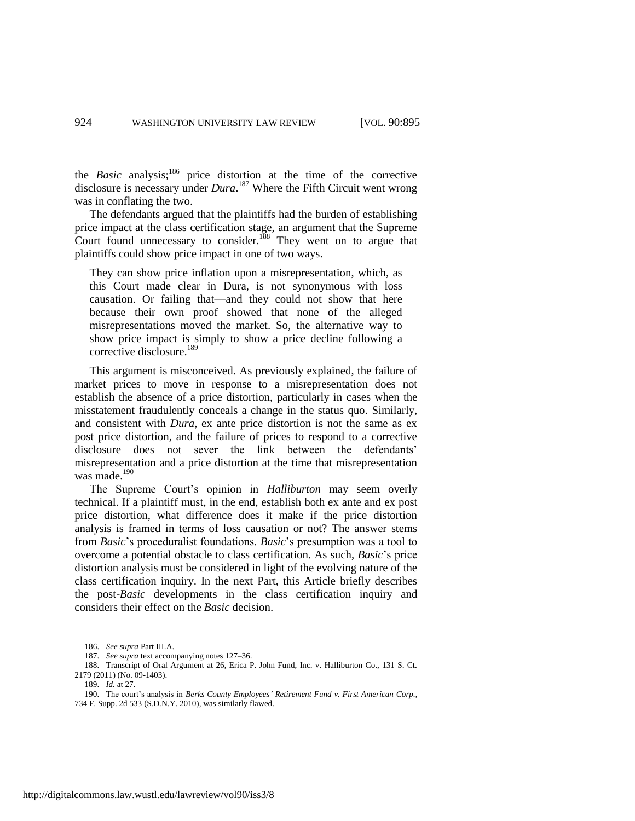the *Basic* analysis;<sup>186</sup> price distortion at the time of the corrective disclosure is necessary under *Dura*. <sup>187</sup> Where the Fifth Circuit went wrong was in conflating the two.

The defendants argued that the plaintiffs had the burden of establishing price impact at the class certification stage, an argument that the Supreme Court found unnecessary to consider.<sup>188</sup> They went on to argue that plaintiffs could show price impact in one of two ways.

They can show price inflation upon a misrepresentation, which, as this Court made clear in Dura, is not synonymous with loss causation. Or failing that—and they could not show that here because their own proof showed that none of the alleged misrepresentations moved the market. So, the alternative way to show price impact is simply to show a price decline following a corrective disclosure.<sup>189</sup>

This argument is misconceived. As previously explained, the failure of market prices to move in response to a misrepresentation does not establish the absence of a price distortion, particularly in cases when the misstatement fraudulently conceals a change in the status quo. Similarly, and consistent with *Dura*, ex ante price distortion is not the same as ex post price distortion, and the failure of prices to respond to a corrective disclosure does not sever the link between the defendants' misrepresentation and a price distortion at the time that misrepresentation was made.<sup>190</sup>

The Supreme Court's opinion in *Halliburton* may seem overly technical. If a plaintiff must, in the end, establish both ex ante and ex post price distortion, what difference does it make if the price distortion analysis is framed in terms of loss causation or not? The answer stems from *Basic*'s proceduralist foundations. *Basic*'s presumption was a tool to overcome a potential obstacle to class certification. As such, *Basic*'s price distortion analysis must be considered in light of the evolving nature of the class certification inquiry. In the next Part, this Article briefly describes the post-*Basic* developments in the class certification inquiry and considers their effect on the *Basic* decision.

<sup>186.</sup> *See supra* Part III.A.

<sup>187.</sup> *See supra* text accompanying note[s 127–](#page-20-1)36.

<sup>188.</sup> Transcript of Oral Argument at 26, Erica P. John Fund, Inc. v. Halliburton Co., 131 S. Ct. 2179 (2011) (No. 09-1403).

<sup>189.</sup> *Id.* at 27.

<sup>190.</sup> The court's analysis in *Berks County Employees' Retirement Fund v. First American Corp.*,

<sup>734</sup> F. Supp. 2d 533 (S.D.N.Y. 2010), was similarly flawed.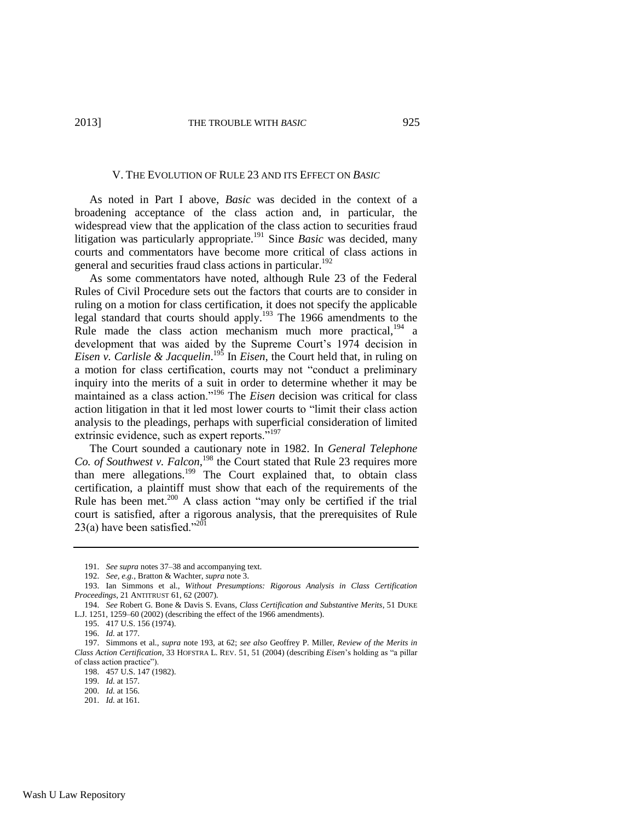#### V. THE EVOLUTION OF RULE 23 AND ITS EFFECT ON *BASIC*

As noted in Part I above, *Basic* was decided in the context of a broadening acceptance of the class action and, in particular, the widespread view that the application of the class action to securities fraud litigation was particularly appropriate.<sup>191</sup> Since *Basic* was decided, many courts and commentators have become more critical of class actions in general and securities fraud class actions in particular.<sup>192</sup>

<span id="page-31-0"></span>As some commentators have noted, although Rule 23 of the Federal Rules of Civil Procedure sets out the factors that courts are to consider in ruling on a motion for class certification, it does not specify the applicable legal standard that courts should apply.<sup>193</sup> The 1966 amendments to the Rule made the class action mechanism much more practical,<sup>194</sup> a development that was aided by the Supreme Court's 1974 decision in *Eisen v. Carlisle & Jacquelin*. <sup>195</sup> In *Eisen*, the Court held that, in ruling on a motion for class certification, courts may not "conduct a preliminary inquiry into the merits of a suit in order to determine whether it may be maintained as a class action."<sup>196</sup> The *Eisen* decision was critical for class action litigation in that it led most lower courts to "limit their class action analysis to the pleadings, perhaps with superficial consideration of limited extrinsic evidence, such as expert reports."<sup>197</sup>

The Court sounded a cautionary note in 1982. In *General Telephone*  Co. of Southwest v. Falcon,<sup>198</sup> the Court stated that Rule 23 requires more than mere allegations.<sup>199</sup> The Court explained that, to obtain class certification, a plaintiff must show that each of the requirements of the Rule has been met.<sup>200</sup> A class action "may only be certified if the trial court is satisfied, after a rigorous analysis, that the prerequisites of Rule 23(a) have been satisfied." $^{201}$ 

<sup>191.</sup> *See supra* note[s 37](#page-8-0)[–38](#page-8-1) and accompanying text.

<sup>192.</sup> *See, e.g.*, Bratton & Wachter, *supra* not[e 3.](#page-2-1)

<sup>193.</sup> Ian Simmons et al., *Without Presumptions: Rigorous Analysis in Class Certification Proceedings*, 21 ANTITRUST 61, 62 (2007).

<sup>194.</sup> *See* Robert G. Bone & Davis S. Evans, *Class Certification and Substantive Merits*, 51 DUKE L.J. 1251, 1259–60 (2002) (describing the effect of the 1966 amendments).

<sup>195.</sup> 417 U.S. 156 (1974).

<sup>196.</sup> *Id.* at 177.

<sup>197.</sup> Simmons et al., *supra* note [193,](#page-31-0) at 62; *see also* Geoffrey P. Miller, *Review of the Merits in Class Action Certification*, 33 HOFSTRA L. REV. 51, 51 (2004) (describing *Eisen*'s holding as "a pillar of class action practice").

<sup>198.</sup> 457 U.S. 147 (1982).

<sup>199.</sup> *Id.* at 157.

<sup>200.</sup> *Id.* at 156.

<sup>201.</sup> *Id.* at 161.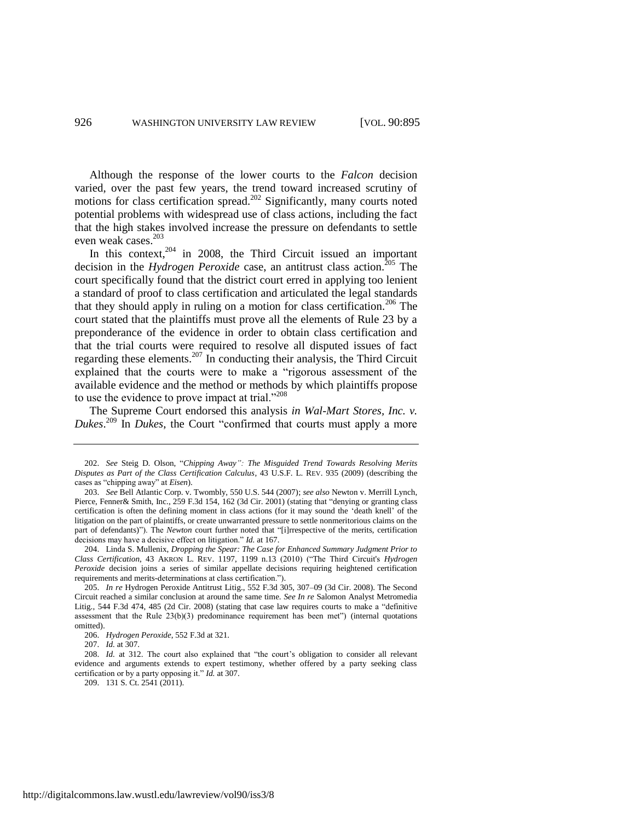Although the response of the lower courts to the *Falcon* decision varied, over the past few years, the trend toward increased scrutiny of motions for class certification spread.<sup>202</sup> Significantly, many courts noted potential problems with widespread use of class actions, including the fact that the high stakes involved increase the pressure on defendants to settle even weak cases.<sup>203</sup>

In this context, $204$  in 2008, the Third Circuit issued an important decision in the *Hydrogen Peroxide* case, an antitrust class action.<sup>205</sup> The court specifically found that the district court erred in applying too lenient a standard of proof to class certification and articulated the legal standards that they should apply in ruling on a motion for class certification.<sup>206</sup> The court stated that the plaintiffs must prove all the elements of Rule 23 by a preponderance of the evidence in order to obtain class certification and that the trial courts were required to resolve all disputed issues of fact regarding these elements.<sup>207</sup> In conducting their analysis, the Third Circuit explained that the courts were to make a "rigorous assessment of the available evidence and the method or methods by which plaintiffs propose to use the evidence to prove impact at trial."<sup>208</sup>

The Supreme Court endorsed this analysis *in Wal-Mart Stores, Inc. v. Dukes*. <sup>209</sup> In *Dukes*, the Court "confirmed that courts must apply a more

<sup>202.</sup> *See* Steig D. Olson, "*Chipping Away": The Misguided Trend Towards Resolving Merits Disputes as Part of the Class Certification Calculus*, 43 U.S.F. L. REV. 935 (2009) (describing the cases as "chipping away" at *Eisen*).

<sup>203.</sup> *See* Bell Atlantic Corp. v. Twombly, 550 U.S. 544 (2007); *see also* Newton v. Merrill Lynch, Pierce, Fenner& Smith, Inc., 259 F.3d 154, 162 (3d Cir. 2001) (stating that "denying or granting class certification is often the defining moment in class actions (for it may sound the 'death knell' of the litigation on the part of plaintiffs, or create unwarranted pressure to settle nonmeritorious claims on the part of defendants)"). The *Newton* court further noted that "[i]rrespective of the merits, certification decisions may have a decisive effect on litigation." *Id.* at 167.

<sup>204.</sup> Linda S. Mullenix, *Dropping the Spear: The Case for Enhanced Summary Judgment Prior to Class Certification*, 43 AKRON L. REV. 1197, 1199 n.13 (2010) ("The Third Circuit's *Hydrogen Peroxide* decision joins a series of similar appellate decisions requiring heightened certification requirements and merits-determinations at class certification.").

<sup>205.</sup> *In re* Hydrogen Peroxide Antitrust Litig., 552 F.3d 305, 307–09 (3d Cir. 2008). The Second Circuit reached a similar conclusion at around the same time. *See In re* Salomon Analyst Metromedia Litig., 544 F.3d 474, 485 (2d Cir. 2008) (stating that case law requires courts to make a "definitive assessment that the Rule 23(b)(3) predominance requirement has been met") (internal quotations omitted).

<sup>206.</sup> *Hydrogen Peroxide*, 552 F.3d at 321.

<sup>207.</sup> *Id.* at 307.

<sup>208.</sup> *Id.* at 312. The court also explained that "the court's obligation to consider all relevant evidence and arguments extends to expert testimony, whether offered by a party seeking class certification or by a party opposing it." *Id.* at 307.

<sup>209.</sup> 131 S. Ct. 2541 (2011).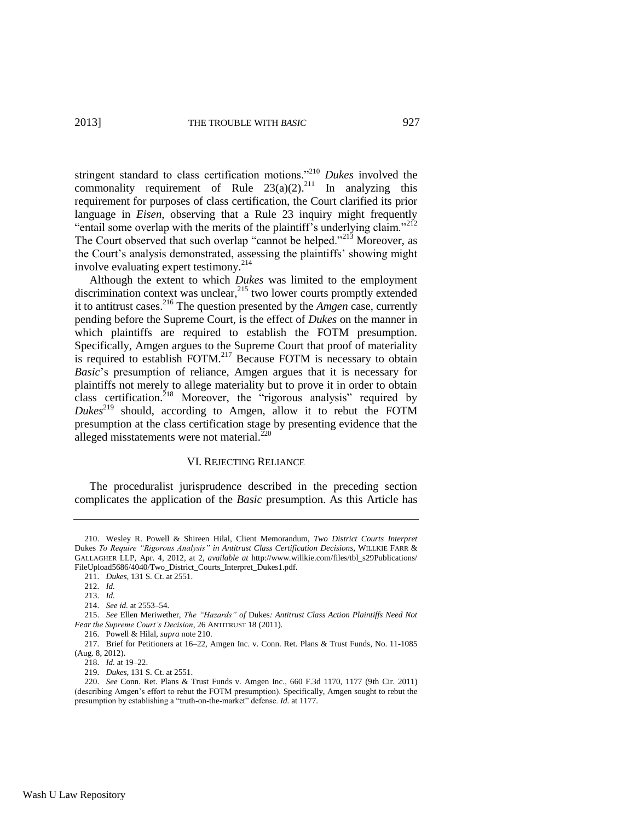<span id="page-33-0"></span>stringent standard to class certification motions."<sup>210</sup> *Dukes* involved the commonality requirement of Rule  $23(a)(2)$ .<sup>211</sup> In analyzing this requirement for purposes of class certification, the Court clarified its prior language in *Eisen*, observing that a Rule 23 inquiry might frequently "entail some overlap with the merits of the plaintiff's underlying claim."<sup>212</sup> The Court observed that such overlap "cannot be helped."<sup>213</sup> Moreover, as the Court's analysis demonstrated, assessing the plaintiffs' showing might involve evaluating expert testimony.<sup>214</sup>

Although the extent to which *Dukes* was limited to the employment discrimination context was unclear,  $^{215}$  two lower courts promptly extended it to antitrust cases. <sup>216</sup> The question presented by the *Amgen* case, currently pending before the Supreme Court, is the effect of *Dukes* on the manner in which plaintiffs are required to establish the FOTM presumption. Specifically, Amgen argues to the Supreme Court that proof of materiality is required to establish FOTM.<sup>217</sup> Because FOTM is necessary to obtain *Basic*'s presumption of reliance, Amgen argues that it is necessary for plaintiffs not merely to allege materiality but to prove it in order to obtain class certification.<sup>218</sup> Moreover, the "rigorous analysis" required by *Dukes*<sup>219</sup> should, according to Amgen, allow it to rebut the FOTM presumption at the class certification stage by presenting evidence that the alleged misstatements were not material. $^{220}$ 

#### <span id="page-33-1"></span>VI. REJECTING RELIANCE

The proceduralist jurisprudence described in the preceding section complicates the application of the *Basic* presumption. As this Article has

<sup>210.</sup> Wesley R. Powell & Shireen Hilal, Client Memorandum, *Two District Courts Interpret*  Dukes *To Require "Rigorous Analysis" in Antitrust Class Certification Decisions*, WILLKIE FARR & GALLAGHER LLP, Apr. 4, 2012, at 2, *available at* http://www.willkie.com/files/tbl\_s29Publications/ FileUpload5686/4040/Two\_District\_Courts\_Interpret\_Dukes1.pdf.

<sup>211.</sup> *Dukes*, 131 S. Ct. at 2551.

<sup>212.</sup> *Id.*

<sup>213.</sup> *Id.*

<sup>214.</sup> *See id.* at 2553–54.

<sup>215.</sup> *See* Ellen Meriwether, *The "Hazards" of* Dukes*: Antitrust Class Action Plaintiffs Need Not Fear the Supreme Court's Decision*, 26 ANTITRUST 18 (2011).

<sup>216.</sup> Powell & Hilal, *supra* not[e 210.](#page-33-0)

<sup>217.</sup> Brief for Petitioners at 16–22, Amgen Inc. v. Conn. Ret. Plans & Trust Funds, No. 11-1085 (Aug. 8, 2012).

<sup>218.</sup> *Id.* at 19–22.

<sup>219.</sup> *Dukes*, 131 S. Ct. at 2551.

<sup>220.</sup> *See* Conn. Ret. Plans & Trust Funds v. Amgen Inc., 660 F.3d 1170, 1177 (9th Cir. 2011) (describing Amgen's effort to rebut the FOTM presumption). Specifically, Amgen sought to rebut the presumption by establishing a "truth-on-the-market" defense. *Id.* at 1177.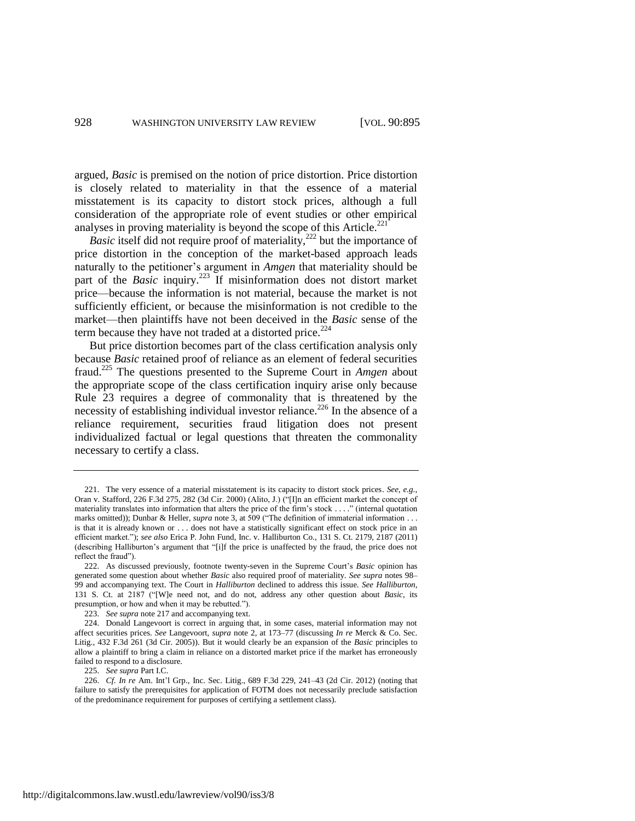argued, *Basic* is premised on the notion of price distortion. Price distortion is closely related to materiality in that the essence of a material misstatement is its capacity to distort stock prices, although a full consideration of the appropriate role of event studies or other empirical analyses in proving materiality is beyond the scope of this Article.<sup>221</sup>

*Basic* itself did not require proof of materiality,<sup>222</sup> but the importance of price distortion in the conception of the market-based approach leads naturally to the petitioner's argument in *Amgen* that materiality should be part of the *Basic* inquiry.<sup>223</sup> If misinformation does not distort market price—because the information is not material, because the market is not sufficiently efficient, or because the misinformation is not credible to the market—then plaintiffs have not been deceived in the *Basic* sense of the term because they have not traded at a distorted price. $2^{24}$ 

But price distortion becomes part of the class certification analysis only because *Basic* retained proof of reliance as an element of federal securities fraud. <sup>225</sup> The questions presented to the Supreme Court in *Amgen* about the appropriate scope of the class certification inquiry arise only because Rule 23 requires a degree of commonality that is threatened by the necessity of establishing individual investor reliance.<sup>226</sup> In the absence of a reliance requirement, securities fraud litigation does not present individualized factual or legal questions that threaten the commonality necessary to certify a class.

225. *See supra* Part I.C.

226. *Cf. In re* Am. Int'l Grp., Inc. Sec. Litig., 689 F.3d 229, 241–43 (2d Cir. 2012) (noting that failure to satisfy the prerequisites for application of FOTM does not necessarily preclude satisfaction of the predominance requirement for purposes of certifying a settlement class).

<sup>221.</sup> The very essence of a material misstatement is its capacity to distort stock prices. *See, e.g.*, Oran v. Stafford, 226 F.3d 275, 282 (3d Cir. 2000) (Alito, J.) ("[I]n an efficient market the concept of materiality translates into information that alters the price of the firm's stock . . . ." (internal quotation marks omitted)); Dunbar & Heller, *supra* not[e 3,](#page-2-1) at 509 ("The definition of immaterial information . . . is that it is already known or . . . does not have a statistically significant effect on stock price in an efficient market."); *see also* Erica P. John Fund, Inc. v. Halliburton Co., 131 S. Ct. 2179, 2187 (2011) (describing Halliburton's argument that "[i]f the price is unaffected by the fraud, the price does not reflect the fraud").

<sup>222.</sup> As discussed previously, footnote twenty-seven in the Supreme Court's *Basic* opinion has generated some question about whether *Basic* also required proof of materiality. *See supra* note[s 98–](#page-16-0) [99](#page-16-1) and accompanying text. The Court in *Halliburton* declined to address this issue. *See Halliburton*, 131 S. Ct. at 2187 ("[W]e need not, and do not, address any other question about *Basic*, its presumption, or how and when it may be rebutted.").

<sup>223.</sup> *See supra* not[e 217](#page-33-1) and accompanying text.

<sup>224.</sup> Donald Langevoort is correct in arguing that, in some cases, material information may not affect securities prices. *See* Langevoort, *supra* note [2,](#page-2-0) at 173–77 (discussing *In re* Merck & Co. Sec. Litig., 432 F.3d 261 (3d Cir. 2005)). But it would clearly be an expansion of the *Basic* principles to allow a plaintiff to bring a claim in reliance on a distorted market price if the market has erroneously failed to respond to a disclosure.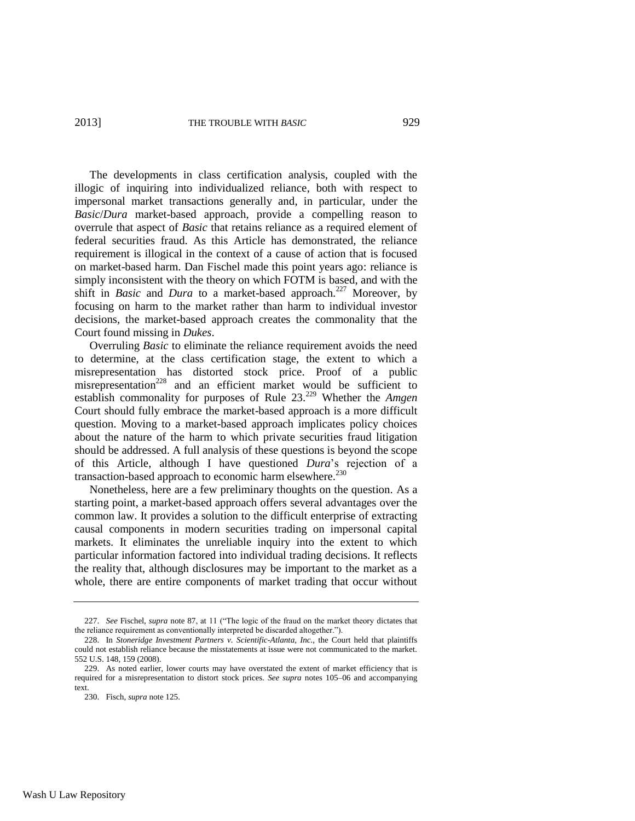The developments in class certification analysis, coupled with the illogic of inquiring into individualized reliance, both with respect to impersonal market transactions generally and, in particular, under the *Basic*/*Dura* market-based approach, provide a compelling reason to overrule that aspect of *Basic* that retains reliance as a required element of federal securities fraud. As this Article has demonstrated, the reliance requirement is illogical in the context of a cause of action that is focused on market-based harm. Dan Fischel made this point years ago: reliance is simply inconsistent with the theory on which FOTM is based, and with the shift in *Basic* and *Dura* to a market-based approach.<sup>227</sup> Moreover, by focusing on harm to the market rather than harm to individual investor decisions, the market-based approach creates the commonality that the Court found missing in *Dukes*.

Overruling *Basic* to eliminate the reliance requirement avoids the need to determine, at the class certification stage, the extent to which a misrepresentation has distorted stock price. Proof of a public misrepresentation<sup>228</sup> and an efficient market would be sufficient to establish commonality for purposes of Rule 23.<sup>229</sup> Whether the *Amgen* Court should fully embrace the market-based approach is a more difficult question. Moving to a market-based approach implicates policy choices about the nature of the harm to which private securities fraud litigation should be addressed. A full analysis of these questions is beyond the scope of this Article, although I have questioned *Dura*'s rejection of a transaction-based approach to economic harm elsewhere.<sup>230</sup>

Nonetheless, here are a few preliminary thoughts on the question. As a starting point, a market-based approach offers several advantages over the common law. It provides a solution to the difficult enterprise of extracting causal components in modern securities trading on impersonal capital markets. It eliminates the unreliable inquiry into the extent to which particular information factored into individual trading decisions. It reflects the reality that, although disclosures may be important to the market as a whole, there are entire components of market trading that occur without

<sup>227.</sup> *See* Fischel, *supra* not[e 87,](#page-15-2) at 11 ("The logic of the fraud on the market theory dictates that the reliance requirement as conventionally interpreted be discarded altogether.").

<sup>228.</sup> In *Stoneridge Investment Partners v. Scientific-Atlanta, Inc.*, the Court held that plaintiffs could not establish reliance because the misstatements at issue were not communicated to the market. 552 U.S. 148, 159 (2008).

<sup>229.</sup> As noted earlier, lower courts may have overstated the extent of market efficiency that is required for a misrepresentation to distort stock prices. *See supra* notes [105–](#page-17-0)06 and accompanying text.

<sup>230.</sup> Fisch, *supra* not[e 125.](#page-20-0)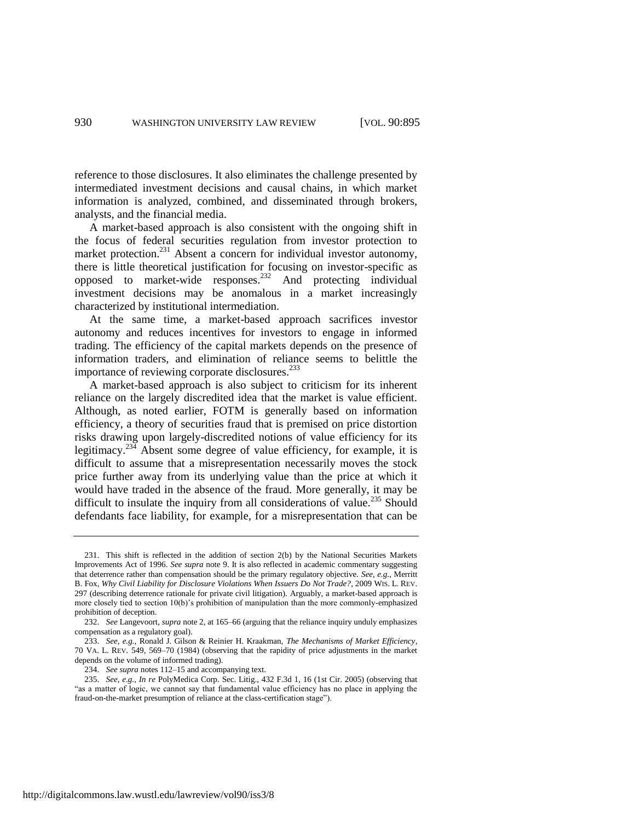reference to those disclosures. It also eliminates the challenge presented by intermediated investment decisions and causal chains, in which market information is analyzed, combined, and disseminated through brokers, analysts, and the financial media.

A market-based approach is also consistent with the ongoing shift in the focus of federal securities regulation from investor protection to market protection.<sup>231</sup> Absent a concern for individual investor autonomy, there is little theoretical justification for focusing on investor-specific as opposed to market-wide responses.<sup>232</sup> And protecting individual investment decisions may be anomalous in a market increasingly characterized by institutional intermediation.

At the same time, a market-based approach sacrifices investor autonomy and reduces incentives for investors to engage in informed trading. The efficiency of the capital markets depends on the presence of information traders, and elimination of reliance seems to belittle the importance of reviewing corporate disclosures.<sup>233</sup>

A market-based approach is also subject to criticism for its inherent reliance on the largely discredited idea that the market is value efficient. Although, as noted earlier, FOTM is generally based on information efficiency, a theory of securities fraud that is premised on price distortion risks drawing upon largely-discredited notions of value efficiency for its legitimacy.<sup>234</sup> Absent some degree of value efficiency, for example, it is difficult to assume that a misrepresentation necessarily moves the stock price further away from its underlying value than the price at which it would have traded in the absence of the fraud. More generally, it may be difficult to insulate the inquiry from all considerations of value.<sup>235</sup> Should defendants face liability, for example, for a misrepresentation that can be

234. *See supra* note[s 112–](#page-18-0)15 and accompanying text.

235. *See, e.g.*, *In re* PolyMedica Corp. Sec. Litig., 432 F.3d 1, 16 (1st Cir. 2005) (observing that "as a matter of logic, we cannot say that fundamental value efficiency has no place in applying the fraud-on-the-market presumption of reliance at the class-certification stage").

<sup>231.</sup> This shift is reflected in the addition of section 2(b) by the National Securities Markets Improvements Act of 1996. *See supra* note [9.](#page-3-0) It is also reflected in academic commentary suggesting that deterrence rather than compensation should be the primary regulatory objective. *See, e.g.*, Merritt B. Fox, *Why Civil Liability for Disclosure Violations When Issuers Do Not Trade?*, 2009 WIS. L. REV. 297 (describing deterrence rationale for private civil litigation). Arguably, a market-based approach is more closely tied to section 10(b)'s prohibition of manipulation than the more commonly-emphasized prohibition of deception.

<sup>232.</sup> *See* Langevoort, *supra* not[e 2,](#page-2-0) at 165–66 (arguing that the reliance inquiry unduly emphasizes compensation as a regulatory goal).

<sup>233.</sup> *See, e.g.*, Ronald J. Gilson & Reinier H. Kraakman, *The Mechanisms of Market Efficiency*, 70 VA. L. REV. 549, 569–70 (1984) (observing that the rapidity of price adjustments in the market depends on the volume of informed trading).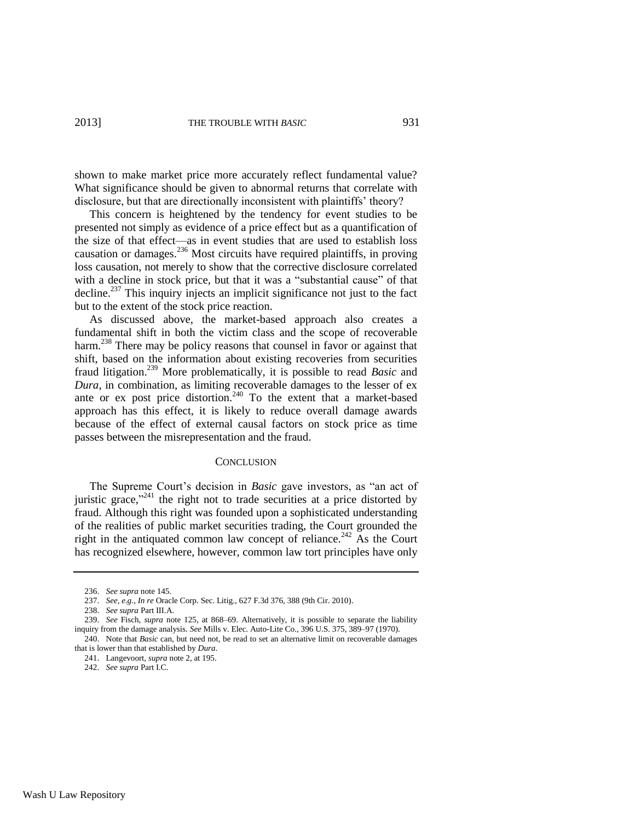shown to make market price more accurately reflect fundamental value? What significance should be given to abnormal returns that correlate with disclosure, but that are directionally inconsistent with plaintiffs' theory?

This concern is heightened by the tendency for event studies to be presented not simply as evidence of a price effect but as a quantification of the size of that effect—as in event studies that are used to establish loss causation or damages.<sup>236</sup> Most circuits have required plaintiffs, in proving loss causation, not merely to show that the corrective disclosure correlated with a decline in stock price, but that it was a "substantial cause" of that decline.<sup>237</sup> This inquiry injects an implicit significance not just to the fact but to the extent of the stock price reaction.

As discussed above, the market-based approach also creates a fundamental shift in both the victim class and the scope of recoverable harm.<sup>238</sup> There may be policy reasons that counsel in favor or against that shift, based on the information about existing recoveries from securities fraud litigation.<sup>239</sup> More problematically, it is possible to read *Basic* and *Dura*, in combination, as limiting recoverable damages to the lesser of ex ante or ex post price distortion.<sup>240</sup> To the extent that a market-based approach has this effect, it is likely to reduce overall damage awards because of the effect of external causal factors on stock price as time passes between the misrepresentation and the fraud.

#### **CONCLUSION**

The Supreme Court's decision in *Basic* gave investors, as "an act of juristic grace," $241$  the right not to trade securities at a price distorted by fraud. Although this right was founded upon a sophisticated understanding of the realities of public market securities trading, the Court grounded the right in the antiquated common law concept of reliance.<sup>242</sup> As the Court has recognized elsewhere, however, common law tort principles have only

<sup>236.</sup> *See supra* not[e 145.](#page-23-0)

<sup>237.</sup> *See, e.g.*, *In re* Oracle Corp. Sec. Litig., 627 F.3d 376, 388 (9th Cir. 2010).

<sup>238.</sup> *See supra* Part III.A.

<sup>239.</sup> *See* Fisch, *supra* note [125,](#page-20-0) at 868–69. Alternatively, it is possible to separate the liability inquiry from the damage analysis. *See* Mills v. Elec. Auto-Lite Co., 396 U.S. 375, 389–97 (1970). 240. Note that *Basic* can, but need not, be read to set an alternative limit on recoverable damages

that is lower than that established by *Dura*.

<sup>241.</sup> Langevoort, *supra* not[e 2,](#page-2-0) at 195.

<sup>242.</sup> *See supra* Part I.C.